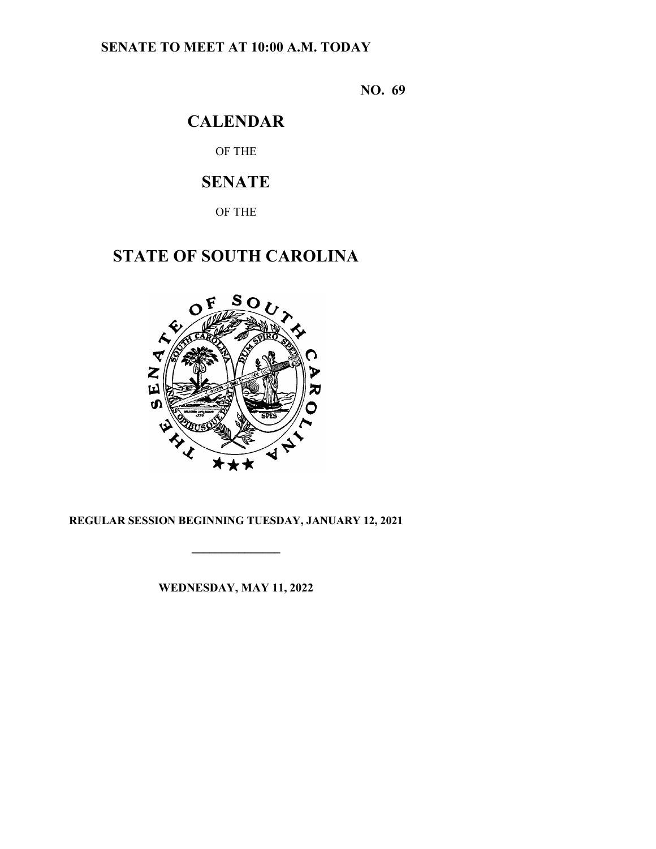# **SENATE TO MEET AT 10:00 A.M. TODAY**

**NO. 69**

# **CALENDAR**

OF THE

# **SENATE**

OF THE

# **STATE OF SOUTH CAROLINA**



# **REGULAR SESSION BEGINNING TUESDAY, JANUARY 12, 2021**

**\_\_\_\_\_\_\_\_\_\_\_\_\_\_\_**

**WEDNESDAY, MAY 11, 2022**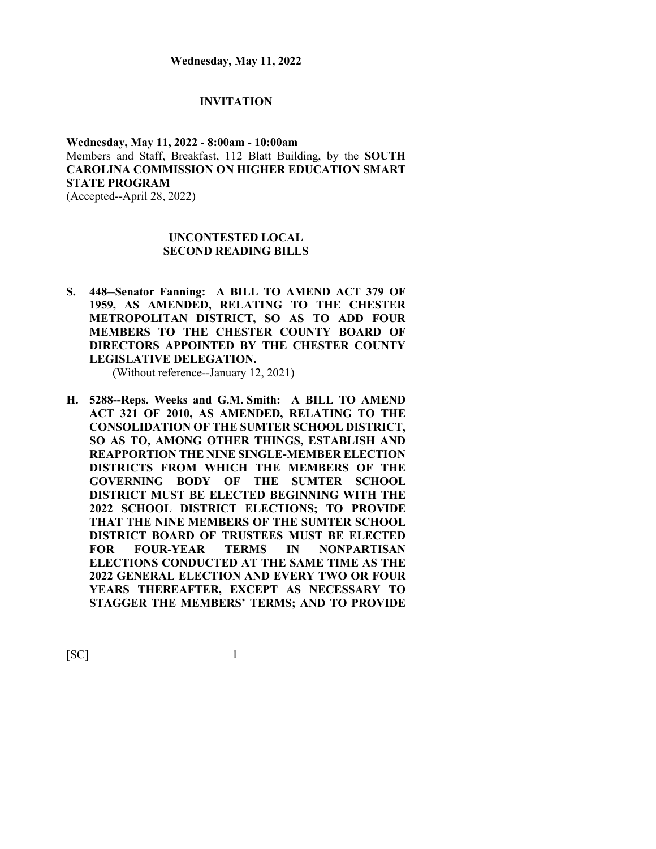#### **INVITATION**

### **Wednesday, May 11, 2022 - 8:00am - 10:00am** Members and Staff, Breakfast, 112 Blatt Building, by the **SOUTH CAROLINA COMMISSION ON HIGHER EDUCATION SMART STATE PROGRAM** (Accepted--April 28, 2022)

**UNCONTESTED LOCAL SECOND READING BILLS**

**S. 448--Senator Fanning: A BILL TO AMEND ACT 379 OF 1959, AS AMENDED, RELATING TO THE CHESTER METROPOLITAN DISTRICT, SO AS TO ADD FOUR MEMBERS TO THE CHESTER COUNTY BOARD OF DIRECTORS APPOINTED BY THE CHESTER COUNTY LEGISLATIVE DELEGATION.**

(Without reference--January 12, 2021)

**H. 5288--Reps. Weeks and G.M. Smith: A BILL TO AMEND ACT 321 OF 2010, AS AMENDED, RELATING TO THE CONSOLIDATION OF THE SUMTER SCHOOL DISTRICT, SO AS TO, AMONG OTHER THINGS, ESTABLISH AND REAPPORTION THE NINE SINGLE-MEMBER ELECTION DISTRICTS FROM WHICH THE MEMBERS OF THE GOVERNING BODY OF THE SUMTER SCHOOL DISTRICT MUST BE ELECTED BEGINNING WITH THE 2022 SCHOOL DISTRICT ELECTIONS; TO PROVIDE THAT THE NINE MEMBERS OF THE SUMTER SCHOOL DISTRICT BOARD OF TRUSTEES MUST BE ELECTED FOR FOUR-YEAR TERMS IN NONPARTISAN ELECTIONS CONDUCTED AT THE SAME TIME AS THE 2022 GENERAL ELECTION AND EVERY TWO OR FOUR YEARS THEREAFTER, EXCEPT AS NECESSARY TO STAGGER THE MEMBERS' TERMS; AND TO PROVIDE**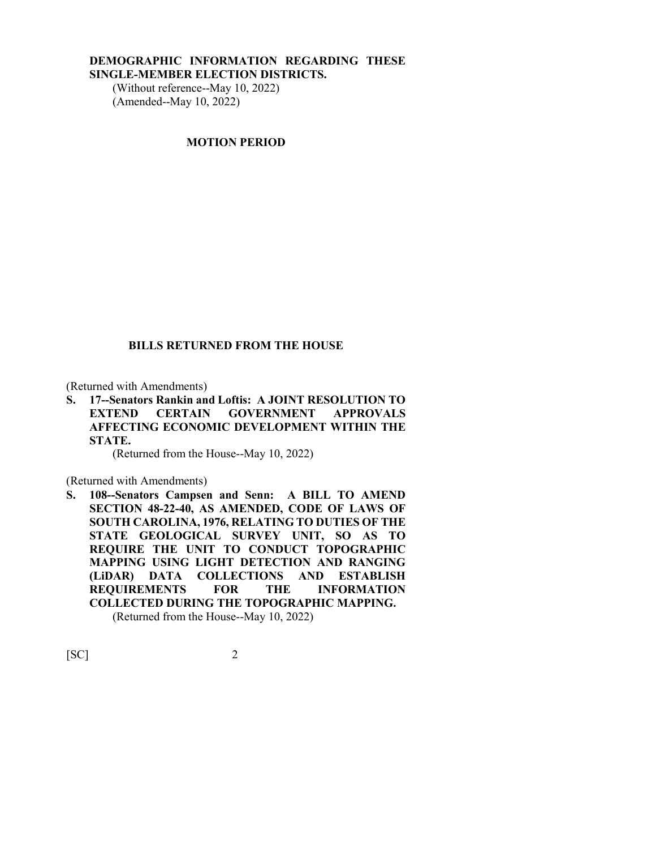#### **DEMOGRAPHIC INFORMATION REGARDING THESE SINGLE-MEMBER ELECTION DISTRICTS.**

(Without reference--May 10, 2022) (Amended--May 10, 2022)

#### **MOTION PERIOD**

#### **BILLS RETURNED FROM THE HOUSE**

(Returned with Amendments)

**S. 17--Senators Rankin and Loftis: A JOINT RESOLUTION TO EXTEND CERTAIN GOVERNMENT APPROVALS AFFECTING ECONOMIC DEVELOPMENT WITHIN THE STATE.**

(Returned from the House--May 10, 2022)

(Returned with Amendments)

**S. 108--Senators Campsen and Senn: A BILL TO AMEND SECTION 48-22-40, AS AMENDED, CODE OF LAWS OF SOUTH CAROLINA, 1976, RELATING TO DUTIES OF THE STATE GEOLOGICAL SURVEY UNIT, SO AS TO REQUIRE THE UNIT TO CONDUCT TOPOGRAPHIC MAPPING USING LIGHT DETECTION AND RANGING (LiDAR) DATA COLLECTIONS AND ESTABLISH REQUIREMENTS FOR THE INFORMATION COLLECTED DURING THE TOPOGRAPHIC MAPPING.**

(Returned from the House--May 10, 2022)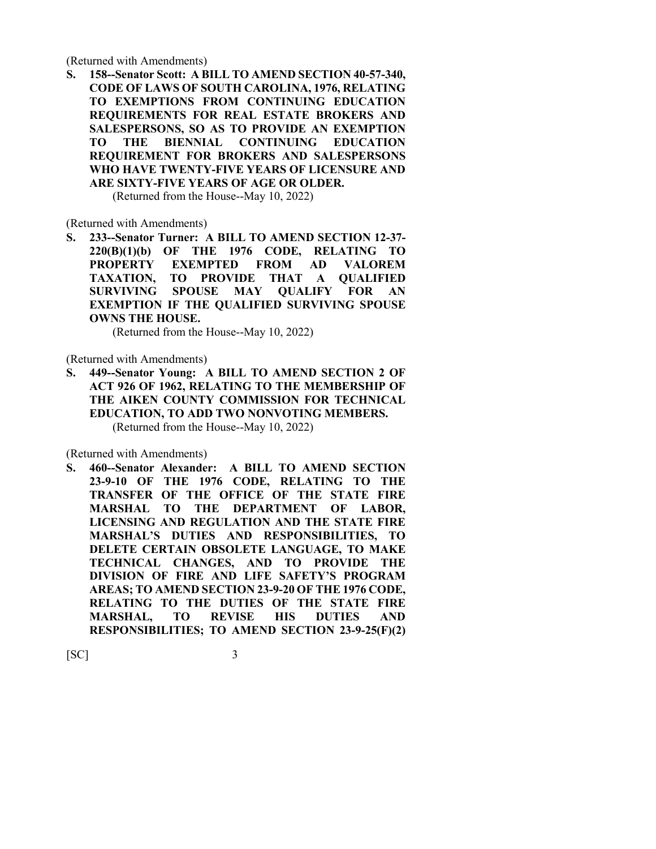(Returned with Amendments)

**S. 158--Senator Scott: A BILL TO AMEND SECTION 40-57-340, CODE OF LAWS OF SOUTH CAROLINA, 1976, RELATING TO EXEMPTIONS FROM CONTINUING EDUCATION REQUIREMENTS FOR REAL ESTATE BROKERS AND SALESPERSONS, SO AS TO PROVIDE AN EXEMPTION TO THE BIENNIAL CONTINUING EDUCATION REQUIREMENT FOR BROKERS AND SALESPERSONS WHO HAVE TWENTY-FIVE YEARS OF LICENSURE AND ARE SIXTY-FIVE YEARS OF AGE OR OLDER.**

(Returned from the House--May 10, 2022)

(Returned with Amendments)

**S. 233--Senator Turner: A BILL TO AMEND SECTION 12-37- 220(B)(1)(b) OF THE 1976 CODE, RELATING TO PROPERTY EXEMPTED FROM AD VALOREM TAXATION, TO PROVIDE THAT A QUALIFIED SURVIVING SPOUSE MAY QUALIFY FOR AN EXEMPTION IF THE QUALIFIED SURVIVING SPOUSE OWNS THE HOUSE.**

(Returned from the House--May 10, 2022)

(Returned with Amendments)

**S. 449--Senator Young: A BILL TO AMEND SECTION 2 OF ACT 926 OF 1962, RELATING TO THE MEMBERSHIP OF THE AIKEN COUNTY COMMISSION FOR TECHNICAL EDUCATION, TO ADD TWO NONVOTING MEMBERS.** (Returned from the House--May 10, 2022)

(Returned with Amendments)

**S. 460--Senator Alexander: A BILL TO AMEND SECTION 23-9-10 OF THE 1976 CODE, RELATING TO THE TRANSFER OF THE OFFICE OF THE STATE FIRE MARSHAL TO THE DEPARTMENT OF LABOR, LICENSING AND REGULATION AND THE STATE FIRE MARSHAL'S DUTIES AND RESPONSIBILITIES, TO DELETE CERTAIN OBSOLETE LANGUAGE, TO MAKE TECHNICAL CHANGES, AND TO PROVIDE THE DIVISION OF FIRE AND LIFE SAFETY'S PROGRAM AREAS; TO AMEND SECTION 23-9-20 OF THE 1976 CODE, RELATING TO THE DUTIES OF THE STATE FIRE MARSHAL, TO REVISE HIS DUTIES AND RESPONSIBILITIES; TO AMEND SECTION 23-9-25(F)(2)**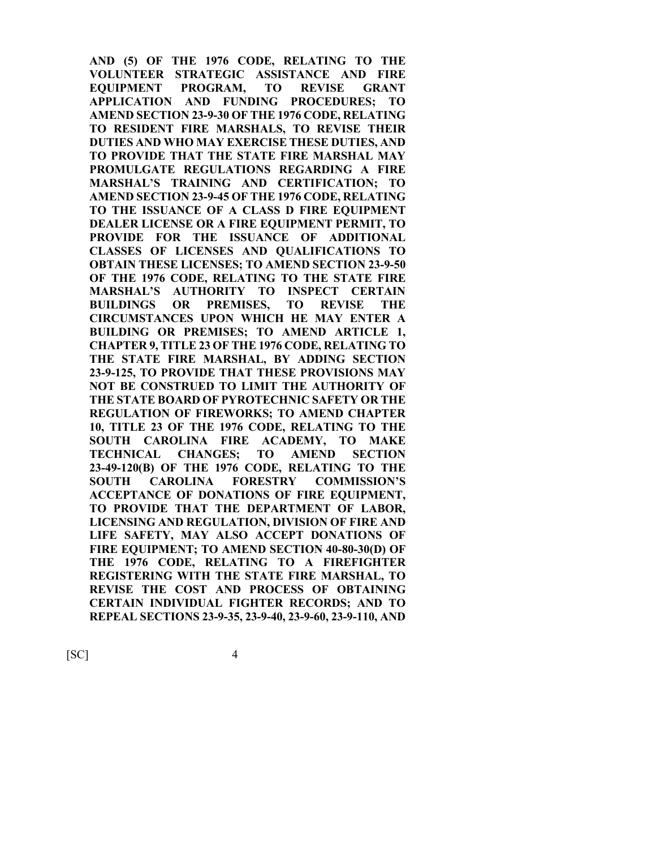**AND (5) OF THE 1976 CODE, RELATING TO THE VOLUNTEER STRATEGIC ASSISTANCE AND FIRE EQUIPMENT PROGRAM, TO REVISE GRANT APPLICATION AND FUNDING PROCEDURES; TO AMEND SECTION 23-9-30 OF THE 1976 CODE, RELATING TO RESIDENT FIRE MARSHALS, TO REVISE THEIR DUTIES AND WHO MAY EXERCISE THESE DUTIES, AND TO PROVIDE THAT THE STATE FIRE MARSHAL MAY PROMULGATE REGULATIONS REGARDING A FIRE MARSHAL'S TRAINING AND CERTIFICATION; TO AMEND SECTION 23-9-45 OF THE 1976 CODE, RELATING TO THE ISSUANCE OF A CLASS D FIRE EQUIPMENT DEALER LICENSE OR A FIRE EQUIPMENT PERMIT, TO PROVIDE FOR THE ISSUANCE OF ADDITIONAL CLASSES OF LICENSES AND QUALIFICATIONS TO OBTAIN THESE LICENSES; TO AMEND SECTION 23-9-50 OF THE 1976 CODE, RELATING TO THE STATE FIRE MARSHAL'S AUTHORITY TO INSPECT CERTAIN BUILDINGS OR PREMISES, TO REVISE THE CIRCUMSTANCES UPON WHICH HE MAY ENTER A BUILDING OR PREMISES; TO AMEND ARTICLE 1, CHAPTER 9, TITLE 23 OF THE 1976 CODE, RELATING TO THE STATE FIRE MARSHAL, BY ADDING SECTION 23-9-125, TO PROVIDE THAT THESE PROVISIONS MAY NOT BE CONSTRUED TO LIMIT THE AUTHORITY OF THE STATE BOARD OF PYROTECHNIC SAFETY OR THE REGULATION OF FIREWORKS; TO AMEND CHAPTER 10, TITLE 23 OF THE 1976 CODE, RELATING TO THE SOUTH CAROLINA FIRE ACADEMY, TO MAKE TECHNICAL CHANGES; TO AMEND SECTION 23-49-120(B) OF THE 1976 CODE, RELATING TO THE SOUTH CAROLINA FORESTRY COMMISSION'S ACCEPTANCE OF DONATIONS OF FIRE EQUIPMENT, TO PROVIDE THAT THE DEPARTMENT OF LABOR, LICENSING AND REGULATION, DIVISION OF FIRE AND LIFE SAFETY, MAY ALSO ACCEPT DONATIONS OF FIRE EQUIPMENT; TO AMEND SECTION 40-80-30(D) OF THE 1976 CODE, RELATING TO A FIREFIGHTER REGISTERING WITH THE STATE FIRE MARSHAL, TO REVISE THE COST AND PROCESS OF OBTAINING CERTAIN INDIVIDUAL FIGHTER RECORDS; AND TO REPEAL SECTIONS 23-9-35, 23-9-40, 23-9-60, 23-9-110, AND**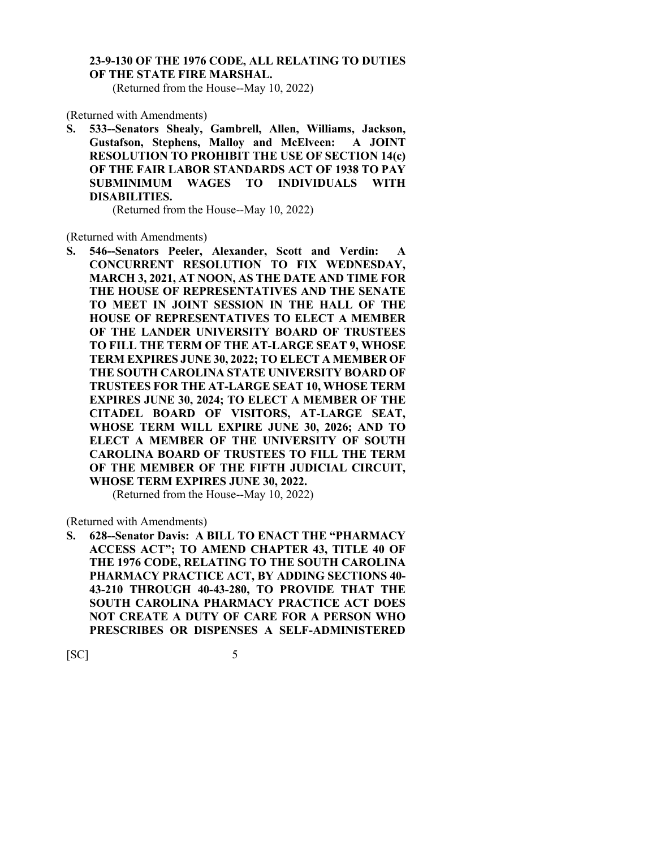# **23-9-130 OF THE 1976 CODE, ALL RELATING TO DUTIES OF THE STATE FIRE MARSHAL.**

(Returned from the House--May 10, 2022)

(Returned with Amendments)

**S. 533--Senators Shealy, Gambrell, Allen, Williams, Jackson, Gustafson, Stephens, Malloy and McElveen: A JOINT RESOLUTION TO PROHIBIT THE USE OF SECTION 14(c) OF THE FAIR LABOR STANDARDS ACT OF 1938 TO PAY SUBMINIMUM WAGES TO INDIVIDUALS WITH DISABILITIES.**

(Returned from the House--May 10, 2022)

(Returned with Amendments)

**S. 546--Senators Peeler, Alexander, Scott and Verdin: A CONCURRENT RESOLUTION TO FIX WEDNESDAY, MARCH 3, 2021, AT NOON, AS THE DATE AND TIME FOR THE HOUSE OF REPRESENTATIVES AND THE SENATE TO MEET IN JOINT SESSION IN THE HALL OF THE HOUSE OF REPRESENTATIVES TO ELECT A MEMBER OF THE LANDER UNIVERSITY BOARD OF TRUSTEES TO FILL THE TERM OF THE AT-LARGE SEAT 9, WHOSE TERM EXPIRES JUNE 30, 2022; TO ELECT A MEMBER OF THE SOUTH CAROLINA STATE UNIVERSITY BOARD OF TRUSTEES FOR THE AT-LARGE SEAT 10, WHOSE TERM EXPIRES JUNE 30, 2024; TO ELECT A MEMBER OF THE CITADEL BOARD OF VISITORS, AT-LARGE SEAT, WHOSE TERM WILL EXPIRE JUNE 30, 2026; AND TO ELECT A MEMBER OF THE UNIVERSITY OF SOUTH CAROLINA BOARD OF TRUSTEES TO FILL THE TERM OF THE MEMBER OF THE FIFTH JUDICIAL CIRCUIT, WHOSE TERM EXPIRES JUNE 30, 2022.**

(Returned from the House--May 10, 2022)

(Returned with Amendments)

**S. 628--Senator Davis: A BILL TO ENACT THE "PHARMACY ACCESS ACT"; TO AMEND CHAPTER 43, TITLE 40 OF THE 1976 CODE, RELATING TO THE SOUTH CAROLINA PHARMACY PRACTICE ACT, BY ADDING SECTIONS 40- 43-210 THROUGH 40-43-280, TO PROVIDE THAT THE SOUTH CAROLINA PHARMACY PRACTICE ACT DOES NOT CREATE A DUTY OF CARE FOR A PERSON WHO PRESCRIBES OR DISPENSES A SELF-ADMINISTERED**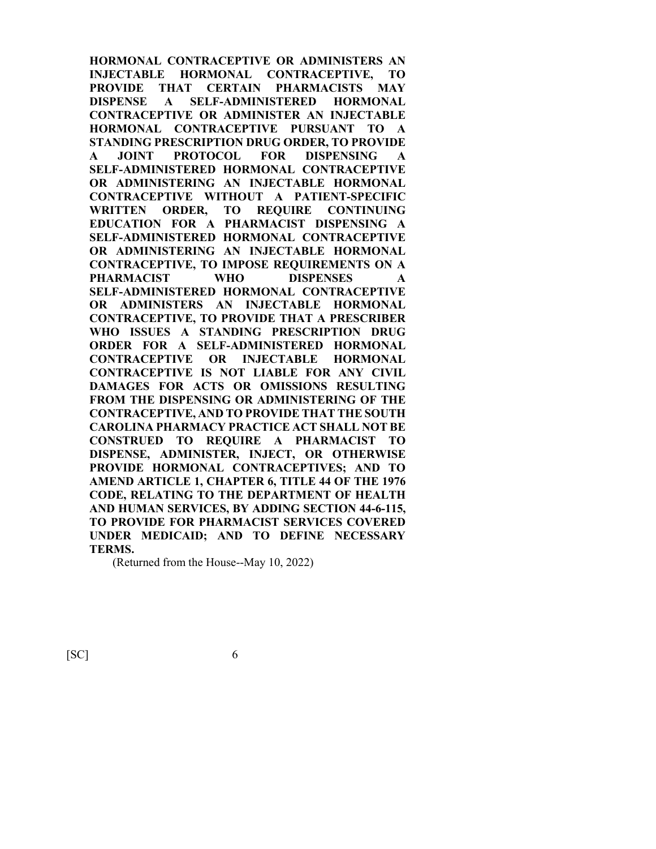**HORMONAL CONTRACEPTIVE OR ADMINISTERS AN INJECTABLE HORMONAL CONTRACEPTIVE, TO PROVIDE THAT CERTAIN PHARMACISTS MAY DISPENSE A SELF-ADMINISTERED HORMONAL CONTRACEPTIVE OR ADMINISTER AN INJECTABLE HORMONAL CONTRACEPTIVE PURSUANT TO A STANDING PRESCRIPTION DRUG ORDER, TO PROVIDE A JOINT PROTOCOL FOR DISPENSING A SELF-ADMINISTERED HORMONAL CONTRACEPTIVE OR ADMINISTERING AN INJECTABLE HORMONAL CONTRACEPTIVE WITHOUT A PATIENT-SPECIFIC WRITTEN ORDER, TO REQUIRE CONTINUING EDUCATION FOR A PHARMACIST DISPENSING A SELF-ADMINISTERED HORMONAL CONTRACEPTIVE OR ADMINISTERING AN INJECTABLE HORMONAL CONTRACEPTIVE, TO IMPOSE REQUIREMENTS ON A PHARMACIST WHO DISPENSES A SELF-ADMINISTERED HORMONAL CONTRACEPTIVE OR ADMINISTERS AN INJECTABLE HORMONAL CONTRACEPTIVE, TO PROVIDE THAT A PRESCRIBER WHO ISSUES A STANDING PRESCRIPTION DRUG ORDER FOR A SELF-ADMINISTERED HORMONAL CONTRACEPTIVE OR INJECTABLE HORMONAL CONTRACEPTIVE IS NOT LIABLE FOR ANY CIVIL DAMAGES FOR ACTS OR OMISSIONS RESULTING FROM THE DISPENSING OR ADMINISTERING OF THE CONTRACEPTIVE, AND TO PROVIDE THAT THE SOUTH CAROLINA PHARMACY PRACTICE ACT SHALL NOT BE CONSTRUED TO REQUIRE A PHARMACIST TO DISPENSE, ADMINISTER, INJECT, OR OTHERWISE PROVIDE HORMONAL CONTRACEPTIVES; AND TO AMEND ARTICLE 1, CHAPTER 6, TITLE 44 OF THE 1976 CODE, RELATING TO THE DEPARTMENT OF HEALTH AND HUMAN SERVICES, BY ADDING SECTION 44-6-115, TO PROVIDE FOR PHARMACIST SERVICES COVERED UNDER MEDICAID; AND TO DEFINE NECESSARY TERMS.** 

(Returned from the House--May 10, 2022)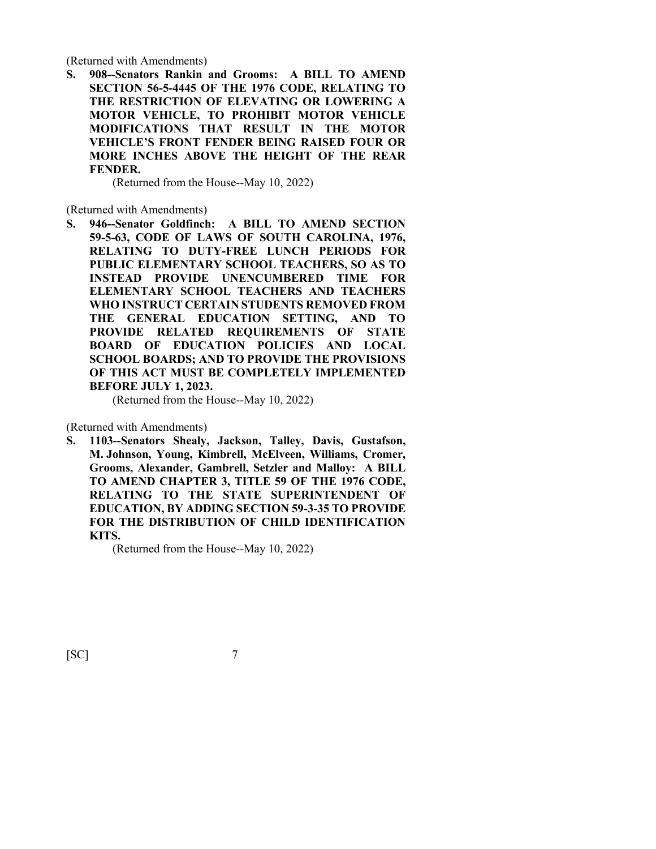(Returned with Amendments)

**S. 908--Senators Rankin and Grooms: A BILL TO AMEND SECTION 56-5-4445 OF THE 1976 CODE, RELATING TO THE RESTRICTION OF ELEVATING OR LOWERING A MOTOR VEHICLE, TO PROHIBIT MOTOR VEHICLE MODIFICATIONS THAT RESULT IN THE MOTOR VEHICLE'S FRONT FENDER BEING RAISED FOUR OR MORE INCHES ABOVE THE HEIGHT OF THE REAR FENDER.**

(Returned from the House--May 10, 2022)

(Returned with Amendments)

**S. 946--Senator Goldfinch: A BILL TO AMEND SECTION 59-5-63, CODE OF LAWS OF SOUTH CAROLINA, 1976, RELATING TO DUTY-FREE LUNCH PERIODS FOR PUBLIC ELEMENTARY SCHOOL TEACHERS, SO AS TO INSTEAD PROVIDE UNENCUMBERED TIME FOR ELEMENTARY SCHOOL TEACHERS AND TEACHERS WHO INSTRUCT CERTAIN STUDENTS REMOVED FROM THE GENERAL EDUCATION SETTING, AND TO PROVIDE RELATED REQUIREMENTS OF STATE BOARD OF EDUCATION POLICIES AND LOCAL SCHOOL BOARDS; AND TO PROVIDE THE PROVISIONS OF THIS ACT MUST BE COMPLETELY IMPLEMENTED BEFORE JULY 1, 2023.**

(Returned from the House--May 10, 2022)

(Returned with Amendments)

**S. 1103--Senators Shealy, Jackson, Talley, Davis, Gustafson, M. Johnson, Young, Kimbrell, McElveen, Williams, Cromer, Grooms, Alexander, Gambrell, Setzler and Malloy: A BILL TO AMEND CHAPTER 3, TITLE 59 OF THE 1976 CODE, RELATING TO THE STATE SUPERINTENDENT OF EDUCATION, BY ADDING SECTION 59-3-35 TO PROVIDE FOR THE DISTRIBUTION OF CHILD IDENTIFICATION KITS.**

(Returned from the House--May 10, 2022)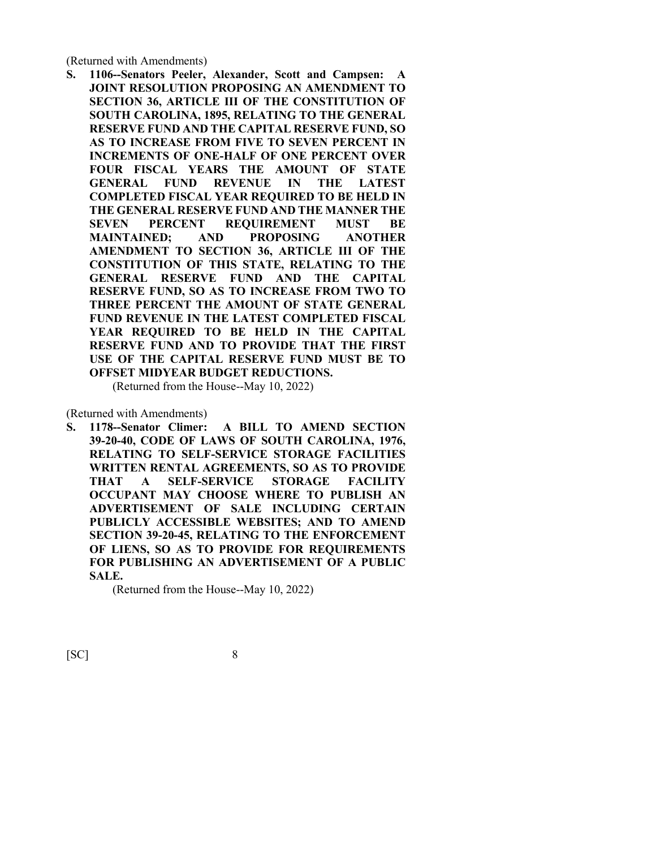(Returned with Amendments)

**S. 1106--Senators Peeler, Alexander, Scott and Campsen: A JOINT RESOLUTION PROPOSING AN AMENDMENT TO SECTION 36, ARTICLE III OF THE CONSTITUTION OF SOUTH CAROLINA, 1895, RELATING TO THE GENERAL RESERVE FUND AND THE CAPITAL RESERVE FUND, SO AS TO INCREASE FROM FIVE TO SEVEN PERCENT IN INCREMENTS OF ONE-HALF OF ONE PERCENT OVER FOUR FISCAL YEARS THE AMOUNT OF STATE GENERAL FUND REVENUE IN THE LATEST COMPLETED FISCAL YEAR REQUIRED TO BE HELD IN THE GENERAL RESERVE FUND AND THE MANNER THE SEVEN PERCENT REQUIREMENT MUST BE MAINTAINED; AND PROPOSING ANOTHER AMENDMENT TO SECTION 36, ARTICLE III OF THE CONSTITUTION OF THIS STATE, RELATING TO THE GENERAL RESERVE FUND AND THE CAPITAL RESERVE FUND, SO AS TO INCREASE FROM TWO TO THREE PERCENT THE AMOUNT OF STATE GENERAL FUND REVENUE IN THE LATEST COMPLETED FISCAL YEAR REQUIRED TO BE HELD IN THE CAPITAL RESERVE FUND AND TO PROVIDE THAT THE FIRST USE OF THE CAPITAL RESERVE FUND MUST BE TO OFFSET MIDYEAR BUDGET REDUCTIONS.**

(Returned from the House--May 10, 2022)

(Returned with Amendments)

**S. 1178--Senator Climer: A BILL TO AMEND SECTION 39-20-40, CODE OF LAWS OF SOUTH CAROLINA, 1976, RELATING TO SELF-SERVICE STORAGE FACILITIES WRITTEN RENTAL AGREEMENTS, SO AS TO PROVIDE THAT A SELF-SERVICE STORAGE FACILITY OCCUPANT MAY CHOOSE WHERE TO PUBLISH AN ADVERTISEMENT OF SALE INCLUDING CERTAIN PUBLICLY ACCESSIBLE WEBSITES; AND TO AMEND SECTION 39-20-45, RELATING TO THE ENFORCEMENT OF LIENS, SO AS TO PROVIDE FOR REQUIREMENTS FOR PUBLISHING AN ADVERTISEMENT OF A PUBLIC SALE.**

(Returned from the House--May 10, 2022)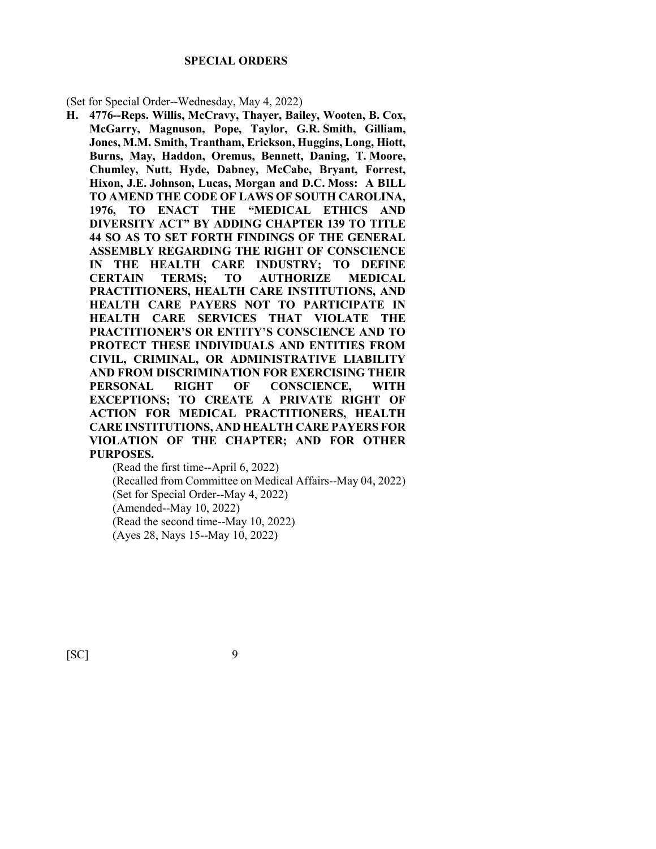#### **SPECIAL ORDERS**

(Set for Special Order--Wednesday, May 4, 2022)

**H. 4776--Reps. Willis, McCravy, Thayer, Bailey, Wooten, B. Cox, McGarry, Magnuson, Pope, Taylor, G.R. Smith, Gilliam, Jones, M.M. Smith, Trantham, Erickson, Huggins, Long, Hiott, Burns, May, Haddon, Oremus, Bennett, Daning, T. Moore, Chumley, Nutt, Hyde, Dabney, McCabe, Bryant, Forrest, Hixon, J.E. Johnson, Lucas, Morgan and D.C. Moss: A BILL TO AMEND THE CODE OF LAWS OF SOUTH CAROLINA, 1976, TO ENACT THE "MEDICAL ETHICS AND DIVERSITY ACT" BY ADDING CHAPTER 139 TO TITLE 44 SO AS TO SET FORTH FINDINGS OF THE GENERAL ASSEMBLY REGARDING THE RIGHT OF CONSCIENCE IN THE HEALTH CARE INDUSTRY; TO DEFINE CERTAIN TERMS; TO AUTHORIZE MEDICAL PRACTITIONERS, HEALTH CARE INSTITUTIONS, AND HEALTH CARE PAYERS NOT TO PARTICIPATE IN HEALTH CARE SERVICES THAT VIOLATE THE PRACTITIONER'S OR ENTITY'S CONSCIENCE AND TO PROTECT THESE INDIVIDUALS AND ENTITIES FROM CIVIL, CRIMINAL, OR ADMINISTRATIVE LIABILITY AND FROM DISCRIMINATION FOR EXERCISING THEIR PERSONAL RIGHT OF CONSCIENCE, WITH EXCEPTIONS; TO CREATE A PRIVATE RIGHT OF ACTION FOR MEDICAL PRACTITIONERS, HEALTH CARE INSTITUTIONS, AND HEALTH CARE PAYERS FOR VIOLATION OF THE CHAPTER; AND FOR OTHER PURPOSES.**

(Read the first time--April 6, 2022) (Recalled from Committee on Medical Affairs--May 04, 2022) (Set for Special Order--May 4, 2022) (Amended--May 10, 2022) (Read the second time--May 10, 2022) (Ayes 28, Nays 15--May 10, 2022)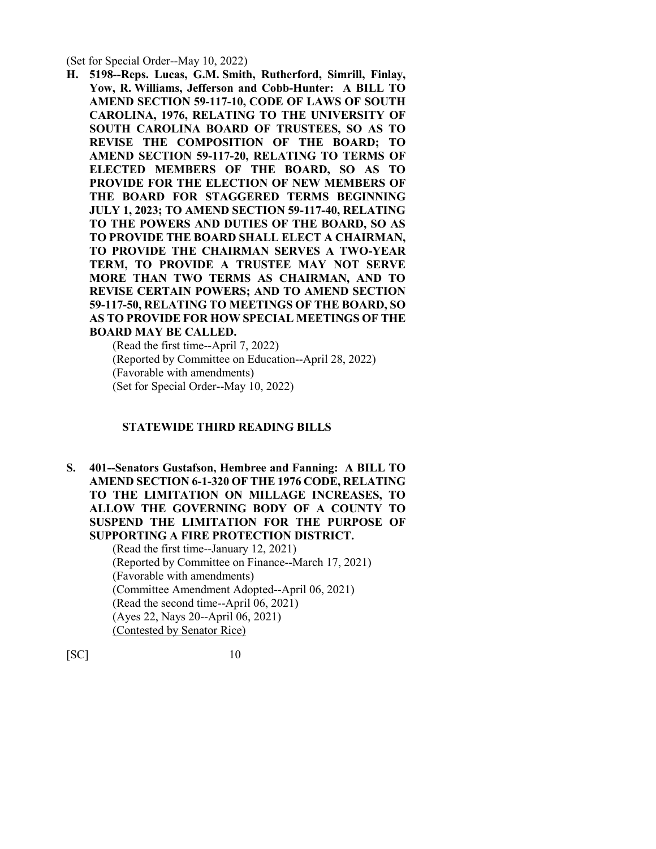(Set for Special Order--May 10, 2022)

**H. 5198--Reps. Lucas, G.M. Smith, Rutherford, Simrill, Finlay, Yow, R. Williams, Jefferson and Cobb-Hunter: A BILL TO AMEND SECTION 59-117-10, CODE OF LAWS OF SOUTH CAROLINA, 1976, RELATING TO THE UNIVERSITY OF SOUTH CAROLINA BOARD OF TRUSTEES, SO AS TO REVISE THE COMPOSITION OF THE BOARD; TO AMEND SECTION 59-117-20, RELATING TO TERMS OF ELECTED MEMBERS OF THE BOARD, SO AS TO PROVIDE FOR THE ELECTION OF NEW MEMBERS OF THE BOARD FOR STAGGERED TERMS BEGINNING JULY 1, 2023; TO AMEND SECTION 59-117-40, RELATING TO THE POWERS AND DUTIES OF THE BOARD, SO AS TO PROVIDE THE BOARD SHALL ELECT A CHAIRMAN, TO PROVIDE THE CHAIRMAN SERVES A TWO-YEAR TERM, TO PROVIDE A TRUSTEE MAY NOT SERVE MORE THAN TWO TERMS AS CHAIRMAN, AND TO REVISE CERTAIN POWERS; AND TO AMEND SECTION 59-117-50, RELATING TO MEETINGS OF THE BOARD, SO AS TO PROVIDE FOR HOW SPECIAL MEETINGS OF THE BOARD MAY BE CALLED.**

(Read the first time--April 7, 2022) (Reported by Committee on Education--April 28, 2022) (Favorable with amendments) (Set for Special Order--May 10, 2022)

## **STATEWIDE THIRD READING BILLS**

**S. 401--Senators Gustafson, Hembree and Fanning: A BILL TO AMEND SECTION 6-1-320 OF THE 1976 CODE, RELATING TO THE LIMITATION ON MILLAGE INCREASES, TO ALLOW THE GOVERNING BODY OF A COUNTY TO SUSPEND THE LIMITATION FOR THE PURPOSE OF SUPPORTING A FIRE PROTECTION DISTRICT.**

(Read the first time--January 12, 2021) (Reported by Committee on Finance--March 17, 2021) (Favorable with amendments) (Committee Amendment Adopted--April 06, 2021) (Read the second time--April 06, 2021) (Ayes 22, Nays 20--April 06, 2021) (Contested by Senator Rice)

[SC] 10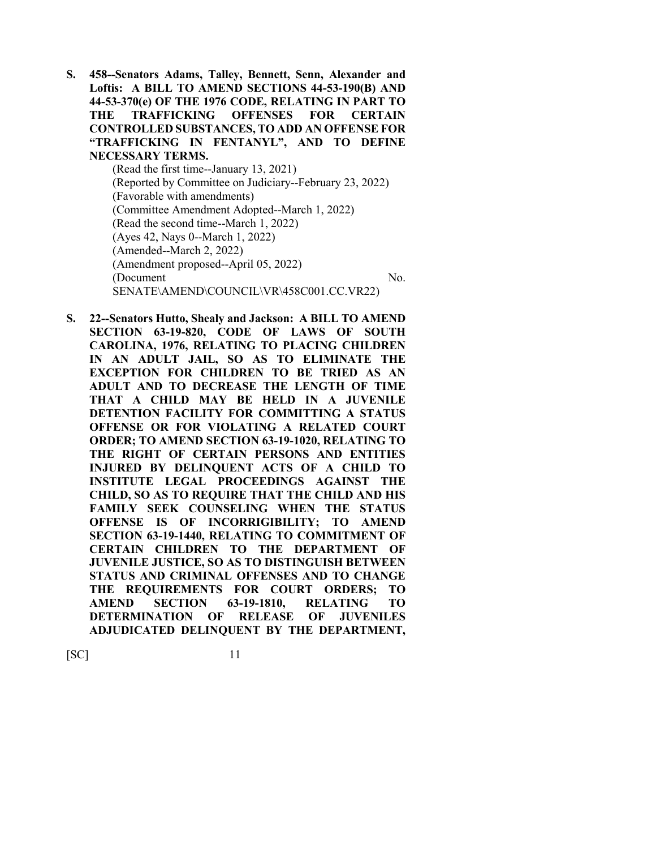- **S. 458--Senators Adams, Talley, Bennett, Senn, Alexander and Loftis: A BILL TO AMEND SECTIONS 44-53-190(B) AND 44-53-370(e) OF THE 1976 CODE, RELATING IN PART TO THE TRAFFICKING OFFENSES FOR CERTAIN CONTROLLED SUBSTANCES, TO ADD AN OFFENSE FOR "TRAFFICKING IN FENTANYL", AND TO DEFINE NECESSARY TERMS.** (Read the first time--January 13, 2021) (Reported by Committee on Judiciary--February 23, 2022) (Favorable with amendments) (Committee Amendment Adopted--March 1, 2022) (Read the second time--March 1, 2022) (Ayes 42, Nays 0--March 1, 2022) (Amended--March 2, 2022) (Amendment proposed--April 05, 2022) (Document No. SENATE\AMEND\COUNCIL\VR\458C001.CC.VR22)
- **S. 22--Senators Hutto, Shealy and Jackson: A BILL TO AMEND SECTION 63-19-820, CODE OF LAWS OF SOUTH CAROLINA, 1976, RELATING TO PLACING CHILDREN IN AN ADULT JAIL, SO AS TO ELIMINATE THE EXCEPTION FOR CHILDREN TO BE TRIED AS AN ADULT AND TO DECREASE THE LENGTH OF TIME THAT A CHILD MAY BE HELD IN A JUVENILE DETENTION FACILITY FOR COMMITTING A STATUS OFFENSE OR FOR VIOLATING A RELATED COURT ORDER; TO AMEND SECTION 63-19-1020, RELATING TO THE RIGHT OF CERTAIN PERSONS AND ENTITIES INJURED BY DELINQUENT ACTS OF A CHILD TO INSTITUTE LEGAL PROCEEDINGS AGAINST THE CHILD, SO AS TO REQUIRE THAT THE CHILD AND HIS FAMILY SEEK COUNSELING WHEN THE STATUS OFFENSE IS OF INCORRIGIBILITY; TO AMEND SECTION 63-19-1440, RELATING TO COMMITMENT OF CERTAIN CHILDREN TO THE DEPARTMENT OF JUVENILE JUSTICE, SO AS TO DISTINGUISH BETWEEN STATUS AND CRIMINAL OFFENSES AND TO CHANGE THE REQUIREMENTS FOR COURT ORDERS; TO AMEND SECTION 63-19-1810, RELATING TO DETERMINATION OF RELEASE OF JUVENILES ADJUDICATED DELINQUENT BY THE DEPARTMENT,**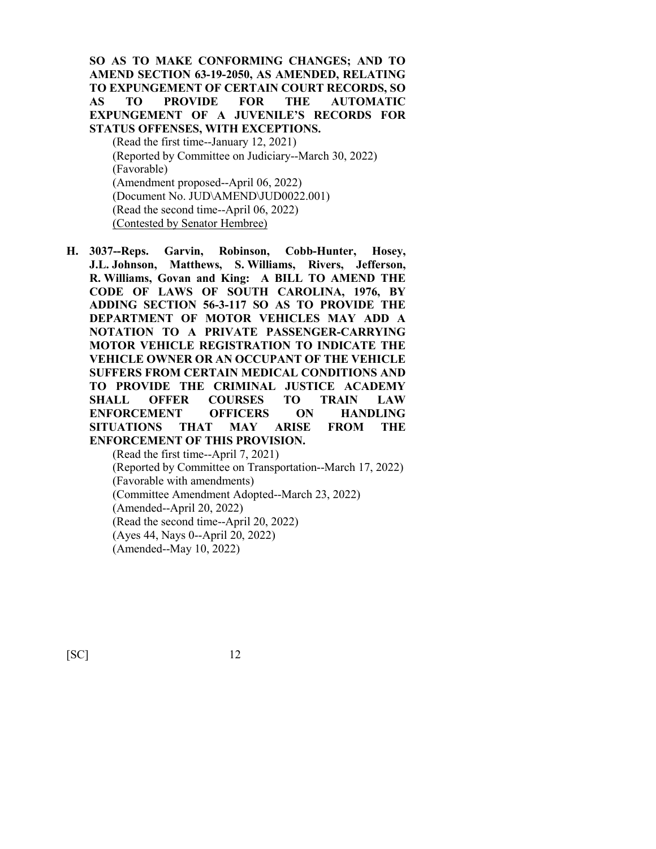**SO AS TO MAKE CONFORMING CHANGES; AND TO AMEND SECTION 63-19-2050, AS AMENDED, RELATING TO EXPUNGEMENT OF CERTAIN COURT RECORDS, SO AS TO PROVIDE FOR THE AUTOMATIC EXPUNGEMENT OF A JUVENILE'S RECORDS FOR STATUS OFFENSES, WITH EXCEPTIONS.**

(Read the first time--January 12, 2021) (Reported by Committee on Judiciary--March 30, 2022) (Favorable) (Amendment proposed--April 06, 2022) (Document No. JUD\AMEND\JUD0022.001) (Read the second time--April 06, 2022) (Contested by Senator Hembree)

**H. 3037--Reps. Garvin, Robinson, Cobb-Hunter, Hosey, J.L. Johnson, Matthews, S. Williams, Rivers, Jefferson, R. Williams, Govan and King: A BILL TO AMEND THE CODE OF LAWS OF SOUTH CAROLINA, 1976, BY ADDING SECTION 56-3-117 SO AS TO PROVIDE THE DEPARTMENT OF MOTOR VEHICLES MAY ADD A NOTATION TO A PRIVATE PASSENGER-CARRYING MOTOR VEHICLE REGISTRATION TO INDICATE THE VEHICLE OWNER OR AN OCCUPANT OF THE VEHICLE SUFFERS FROM CERTAIN MEDICAL CONDITIONS AND TO PROVIDE THE CRIMINAL JUSTICE ACADEMY SHALL OFFER COURSES TO TRAIN LAW ENFORCEMENT OFFICERS ON HANDLING SITUATIONS THAT MAY ARISE FROM THE ENFORCEMENT OF THIS PROVISION.** (Read the first time--April 7, 2021)

(Reported by Committee on Transportation--March 17, 2022) (Favorable with amendments) (Committee Amendment Adopted--March 23, 2022) (Amended--April 20, 2022) (Read the second time--April 20, 2022) (Ayes 44, Nays 0--April 20, 2022) (Amended--May 10, 2022)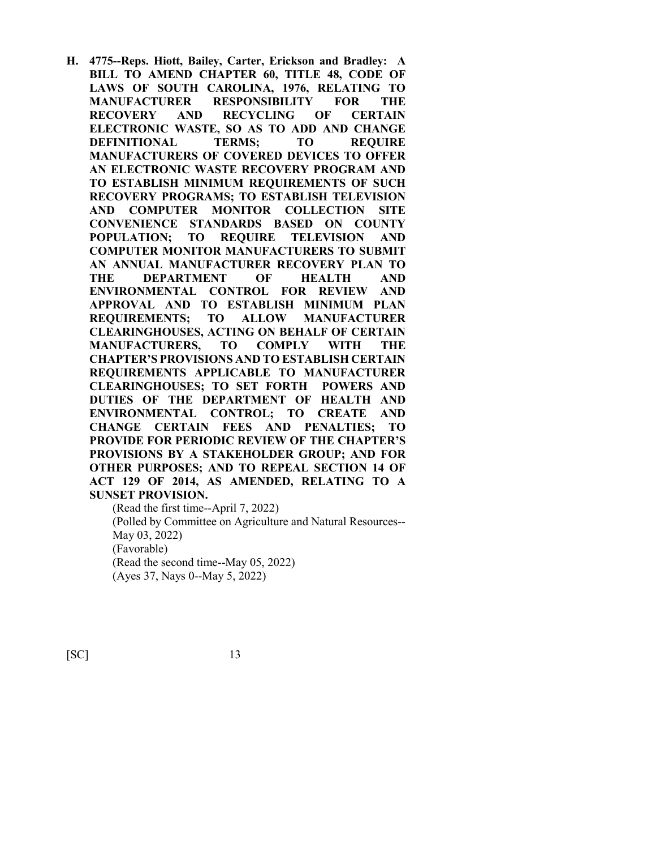**H. 4775--Reps. Hiott, Bailey, Carter, Erickson and Bradley: A BILL TO AMEND CHAPTER 60, TITLE 48, CODE OF LAWS OF SOUTH CAROLINA, 1976, RELATING TO MANUFACTURER RESPONSIBILITY FOR THE RECOVERY AND RECYCLING OF CERTAIN ELECTRONIC WASTE, SO AS TO ADD AND CHANGE DEFINITIONAL TERMS; TO REQUIRE MANUFACTURERS OF COVERED DEVICES TO OFFER AN ELECTRONIC WASTE RECOVERY PROGRAM AND TO ESTABLISH MINIMUM REQUIREMENTS OF SUCH RECOVERY PROGRAMS; TO ESTABLISH TELEVISION AND COMPUTER MONITOR COLLECTION SITE CONVENIENCE STANDARDS BASED ON COUNTY POPULATION; TO REQUIRE TELEVISION AND COMPUTER MONITOR MANUFACTURERS TO SUBMIT AN ANNUAL MANUFACTURER RECOVERY PLAN TO THE DEPARTMENT OF HEALTH AND ENVIRONMENTAL CONTROL FOR REVIEW AND APPROVAL AND TO ESTABLISH MINIMUM PLAN REQUIREMENTS; TO ALLOW MANUFACTURER CLEARINGHOUSES, ACTING ON BEHALF OF CERTAIN MANUFACTURERS, TO COMPLY WITH THE CHAPTER'S PROVISIONS AND TO ESTABLISH CERTAIN REQUIREMENTS APPLICABLE TO MANUFACTURER CLEARINGHOUSES; TO SET FORTH POWERS AND DUTIES OF THE DEPARTMENT OF HEALTH AND ENVIRONMENTAL CONTROL; TO CREATE AND CHANGE CERTAIN FEES AND PENALTIES; TO PROVIDE FOR PERIODIC REVIEW OF THE CHAPTER'S PROVISIONS BY A STAKEHOLDER GROUP; AND FOR OTHER PURPOSES; AND TO REPEAL SECTION 14 OF ACT 129 OF 2014, AS AMENDED, RELATING TO A SUNSET PROVISION.**

(Read the first time--April 7, 2022) (Polled by Committee on Agriculture and Natural Resources-- May 03, 2022) (Favorable) (Read the second time--May 05, 2022) (Ayes 37, Nays 0--May 5, 2022)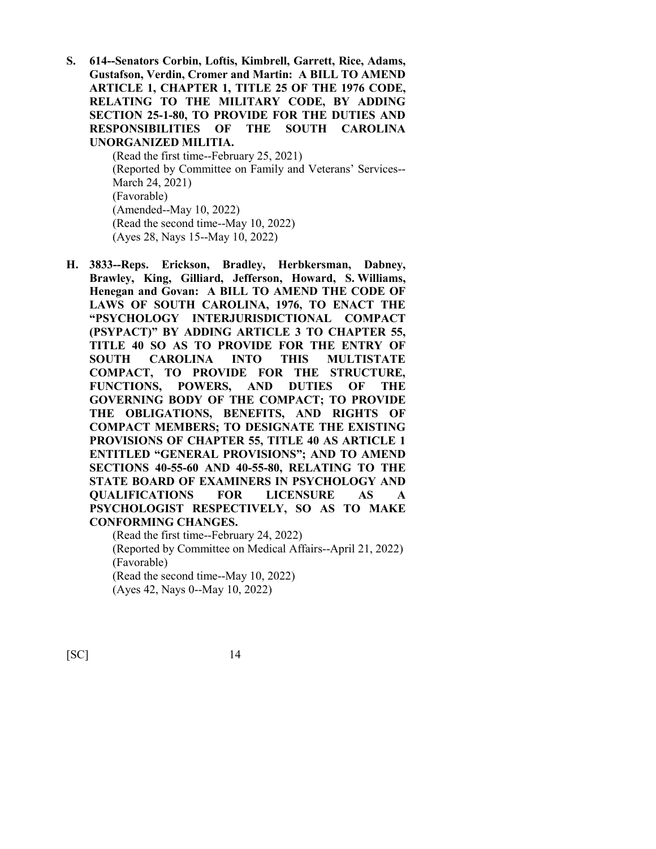**S. 614--Senators Corbin, Loftis, Kimbrell, Garrett, Rice, Adams, Gustafson, Verdin, Cromer and Martin: A BILL TO AMEND ARTICLE 1, CHAPTER 1, TITLE 25 OF THE 1976 CODE, RELATING TO THE MILITARY CODE, BY ADDING SECTION 25-1-80, TO PROVIDE FOR THE DUTIES AND RESPONSIBILITIES OF THE SOUTH CAROLINA UNORGANIZED MILITIA.**

> (Read the first time--February 25, 2021) (Reported by Committee on Family and Veterans' Services-- March 24, 2021) (Favorable) (Amended--May 10, 2022) (Read the second time--May 10, 2022) (Ayes 28, Nays 15--May 10, 2022)

**H. 3833--Reps. Erickson, Bradley, Herbkersman, Dabney, Brawley, King, Gilliard, Jefferson, Howard, S. Williams, Henegan and Govan: A BILL TO AMEND THE CODE OF LAWS OF SOUTH CAROLINA, 1976, TO ENACT THE "PSYCHOLOGY INTERJURISDICTIONAL COMPACT (PSYPACT)" BY ADDING ARTICLE 3 TO CHAPTER 55, TITLE 40 SO AS TO PROVIDE FOR THE ENTRY OF SOUTH CAROLINA INTO THIS MULTISTATE COMPACT, TO PROVIDE FOR THE STRUCTURE, FUNCTIONS, POWERS, AND DUTIES OF THE GOVERNING BODY OF THE COMPACT; TO PROVIDE THE OBLIGATIONS, BENEFITS, AND RIGHTS OF COMPACT MEMBERS; TO DESIGNATE THE EXISTING PROVISIONS OF CHAPTER 55, TITLE 40 AS ARTICLE 1 ENTITLED "GENERAL PROVISIONS"; AND TO AMEND SECTIONS 40-55-60 AND 40-55-80, RELATING TO THE STATE BOARD OF EXAMINERS IN PSYCHOLOGY AND QUALIFICATIONS FOR LICENSURE AS A PSYCHOLOGIST RESPECTIVELY, SO AS TO MAKE CONFORMING CHANGES.**

(Read the first time--February 24, 2022) (Reported by Committee on Medical Affairs--April 21, 2022) (Favorable) (Read the second time--May 10, 2022) (Ayes 42, Nays 0--May 10, 2022)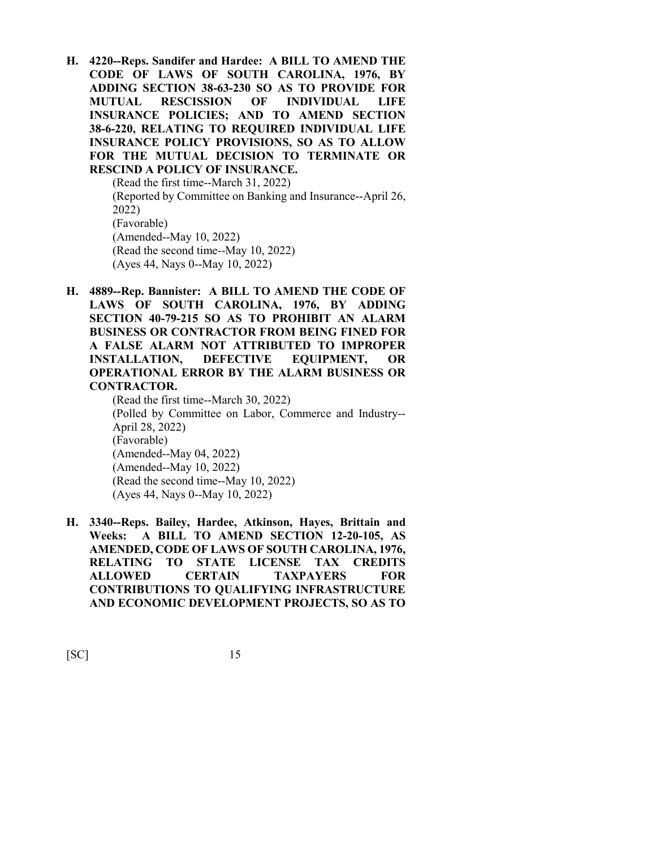**H. 4220--Reps. Sandifer and Hardee: A BILL TO AMEND THE CODE OF LAWS OF SOUTH CAROLINA, 1976, BY ADDING SECTION 38-63-230 SO AS TO PROVIDE FOR MUTUAL RESCISSION OF INDIVIDUAL LIFE INSURANCE POLICIES; AND TO AMEND SECTION 38-6-220, RELATING TO REQUIRED INDIVIDUAL LIFE INSURANCE POLICY PROVISIONS, SO AS TO ALLOW FOR THE MUTUAL DECISION TO TERMINATE OR RESCIND A POLICY OF INSURANCE.**

(Read the first time--March 31, 2022) (Reported by Committee on Banking and Insurance--April 26, 2022) (Favorable) (Amended--May 10, 2022) (Read the second time--May 10, 2022) (Ayes 44, Nays 0--May 10, 2022)

**H. 4889--Rep. Bannister: A BILL TO AMEND THE CODE OF LAWS OF SOUTH CAROLINA, 1976, BY ADDING SECTION 40-79-215 SO AS TO PROHIBIT AN ALARM BUSINESS OR CONTRACTOR FROM BEING FINED FOR A FALSE ALARM NOT ATTRIBUTED TO IMPROPER INSTALLATION, DEFECTIVE EQUIPMENT, OR OPERATIONAL ERROR BY THE ALARM BUSINESS OR CONTRACTOR.**

(Read the first time--March 30, 2022) (Polled by Committee on Labor, Commerce and Industry-- April 28, 2022) (Favorable) (Amended--May 04, 2022) (Amended--May 10, 2022) (Read the second time--May 10, 2022) (Ayes 44, Nays 0--May 10, 2022)

**H. 3340--Reps. Bailey, Hardee, Atkinson, Hayes, Brittain and Weeks: A BILL TO AMEND SECTION 12-20-105, AS AMENDED, CODE OF LAWS OF SOUTH CAROLINA, 1976, RELATING TO STATE LICENSE TAX CREDITS ALLOWED CERTAIN TAXPAYERS FOR CONTRIBUTIONS TO QUALIFYING INFRASTRUCTURE AND ECONOMIC DEVELOPMENT PROJECTS, SO AS TO**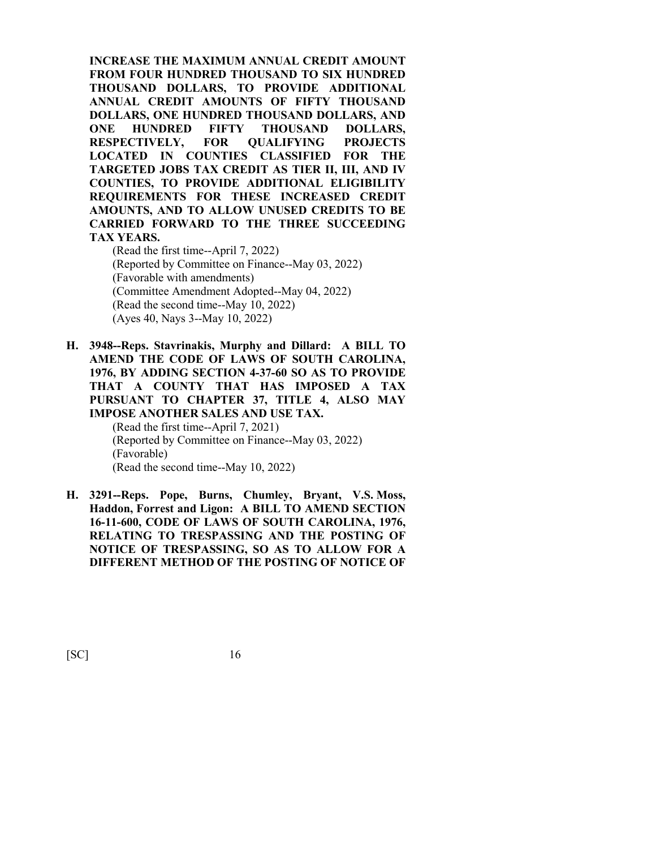**INCREASE THE MAXIMUM ANNUAL CREDIT AMOUNT FROM FOUR HUNDRED THOUSAND TO SIX HUNDRED THOUSAND DOLLARS, TO PROVIDE ADDITIONAL ANNUAL CREDIT AMOUNTS OF FIFTY THOUSAND DOLLARS, ONE HUNDRED THOUSAND DOLLARS, AND ONE HUNDRED FIFTY THOUSAND DOLLARS, RESPECTIVELY, FOR QUALIFYING PROJECTS LOCATED IN COUNTIES CLASSIFIED FOR THE TARGETED JOBS TAX CREDIT AS TIER II, III, AND IV COUNTIES, TO PROVIDE ADDITIONAL ELIGIBILITY REQUIREMENTS FOR THESE INCREASED CREDIT AMOUNTS, AND TO ALLOW UNUSED CREDITS TO BE CARRIED FORWARD TO THE THREE SUCCEEDING TAX YEARS.**

(Read the first time--April 7, 2022) (Reported by Committee on Finance--May 03, 2022) (Favorable with amendments) (Committee Amendment Adopted--May 04, 2022) (Read the second time--May 10, 2022) (Ayes 40, Nays 3--May 10, 2022)

**H. 3948--Reps. Stavrinakis, Murphy and Dillard: A BILL TO AMEND THE CODE OF LAWS OF SOUTH CAROLINA, 1976, BY ADDING SECTION 4-37-60 SO AS TO PROVIDE THAT A COUNTY THAT HAS IMPOSED A TAX PURSUANT TO CHAPTER 37, TITLE 4, ALSO MAY IMPOSE ANOTHER SALES AND USE TAX.** (Read the first time--April 7, 2021)

(Reported by Committee on Finance--May 03, 2022) (Favorable) (Read the second time--May 10, 2022)

**H. 3291--Reps. Pope, Burns, Chumley, Bryant, V.S. Moss, Haddon, Forrest and Ligon: A BILL TO AMEND SECTION 16-11-600, CODE OF LAWS OF SOUTH CAROLINA, 1976, RELATING TO TRESPASSING AND THE POSTING OF NOTICE OF TRESPASSING, SO AS TO ALLOW FOR A DIFFERENT METHOD OF THE POSTING OF NOTICE OF**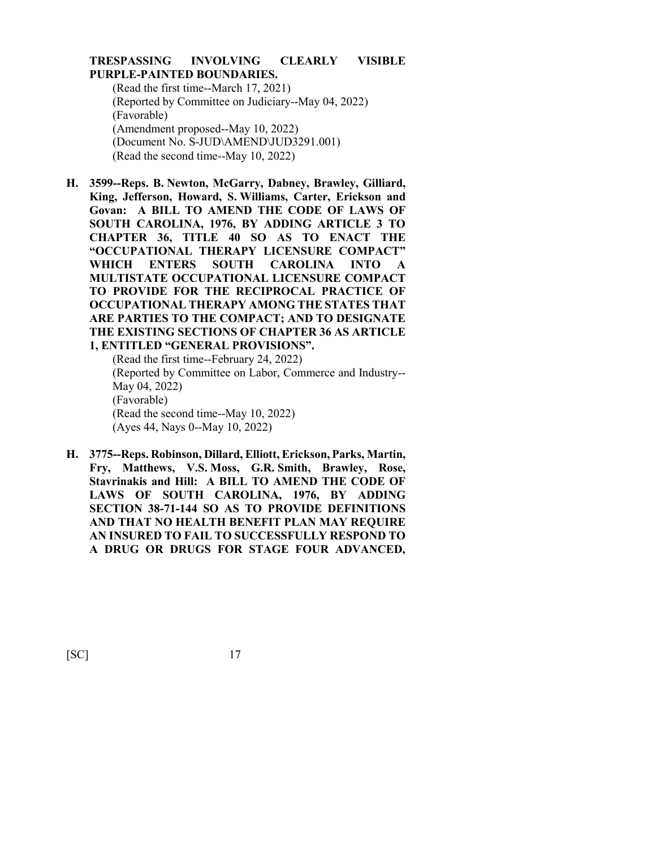### **TRESPASSING INVOLVING CLEARLY VISIBLE PURPLE-PAINTED BOUNDARIES.**

(Read the first time--March 17, 2021) (Reported by Committee on Judiciary--May 04, 2022) (Favorable) (Amendment proposed--May 10, 2022) (Document No. S-JUD\AMEND\JUD3291.001) (Read the second time--May 10, 2022)

**H. 3599--Reps. B. Newton, McGarry, Dabney, Brawley, Gilliard, King, Jefferson, Howard, S. Williams, Carter, Erickson and Govan: A BILL TO AMEND THE CODE OF LAWS OF SOUTH CAROLINA, 1976, BY ADDING ARTICLE 3 TO CHAPTER 36, TITLE 40 SO AS TO ENACT THE "OCCUPATIONAL THERAPY LICENSURE COMPACT" WHICH ENTERS SOUTH CAROLINA INTO A MULTISTATE OCCUPATIONAL LICENSURE COMPACT TO PROVIDE FOR THE RECIPROCAL PRACTICE OF OCCUPATIONAL THERAPY AMONG THE STATES THAT ARE PARTIES TO THE COMPACT; AND TO DESIGNATE THE EXISTING SECTIONS OF CHAPTER 36 AS ARTICLE 1, ENTITLED "GENERAL PROVISIONS".**

(Read the first time--February 24, 2022) (Reported by Committee on Labor, Commerce and Industry-- May 04, 2022) (Favorable) (Read the second time--May 10, 2022) (Ayes 44, Nays 0--May 10, 2022)

**H. 3775--Reps. Robinson, Dillard, Elliott, Erickson, Parks, Martin, Fry, Matthews, V.S. Moss, G.R. Smith, Brawley, Rose, Stavrinakis and Hill: A BILL TO AMEND THE CODE OF LAWS OF SOUTH CAROLINA, 1976, BY ADDING SECTION 38-71-144 SO AS TO PROVIDE DEFINITIONS AND THAT NO HEALTH BENEFIT PLAN MAY REQUIRE AN INSURED TO FAIL TO SUCCESSFULLY RESPOND TO A DRUG OR DRUGS FOR STAGE FOUR ADVANCED,**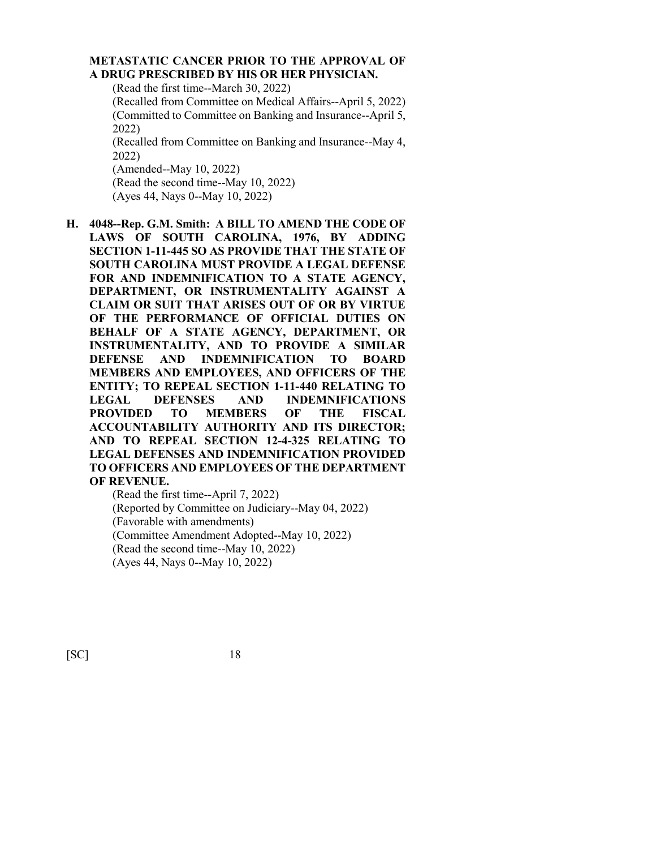## **METASTATIC CANCER PRIOR TO THE APPROVAL OF A DRUG PRESCRIBED BY HIS OR HER PHYSICIAN.**

(Read the first time--March 30, 2022)

(Recalled from Committee on Medical Affairs--April 5, 2022) (Committed to Committee on Banking and Insurance--April 5, 2022) (Recalled from Committee on Banking and Insurance--May 4,

2022) (Amended--May 10, 2022) (Read the second time--May 10, 2022)

(Ayes 44, Nays 0--May 10, 2022)

**H. 4048--Rep. G.M. Smith: A BILL TO AMEND THE CODE OF LAWS OF SOUTH CAROLINA, 1976, BY ADDING SECTION 1-11-445 SO AS PROVIDE THAT THE STATE OF SOUTH CAROLINA MUST PROVIDE A LEGAL DEFENSE FOR AND INDEMNIFICATION TO A STATE AGENCY, DEPARTMENT, OR INSTRUMENTALITY AGAINST A CLAIM OR SUIT THAT ARISES OUT OF OR BY VIRTUE OF THE PERFORMANCE OF OFFICIAL DUTIES ON BEHALF OF A STATE AGENCY, DEPARTMENT, OR INSTRUMENTALITY, AND TO PROVIDE A SIMILAR DEFENSE AND INDEMNIFICATION TO BOARD MEMBERS AND EMPLOYEES, AND OFFICERS OF THE ENTITY; TO REPEAL SECTION 1-11-440 RELATING TO LEGAL DEFENSES AND INDEMNIFICATIONS PROVIDED TO MEMBERS OF THE FISCAL ACCOUNTABILITY AUTHORITY AND ITS DIRECTOR; AND TO REPEAL SECTION 12-4-325 RELATING TO LEGAL DEFENSES AND INDEMNIFICATION PROVIDED TO OFFICERS AND EMPLOYEES OF THE DEPARTMENT OF REVENUE.**

(Read the first time--April 7, 2022) (Reported by Committee on Judiciary--May 04, 2022) (Favorable with amendments) (Committee Amendment Adopted--May 10, 2022) (Read the second time--May 10, 2022) (Ayes 44, Nays 0--May 10, 2022)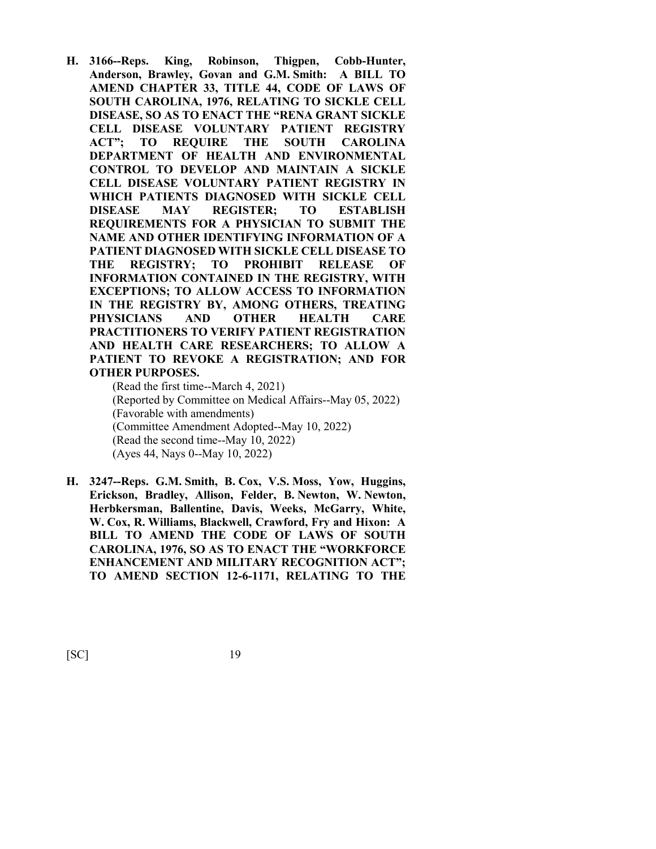**H. 3166--Reps. King, Robinson, Thigpen, Cobb-Hunter, Anderson, Brawley, Govan and G.M. Smith: A BILL TO AMEND CHAPTER 33, TITLE 44, CODE OF LAWS OF SOUTH CAROLINA, 1976, RELATING TO SICKLE CELL DISEASE, SO AS TO ENACT THE "RENA GRANT SICKLE CELL DISEASE VOLUNTARY PATIENT REGISTRY ACT"; TO REQUIRE THE SOUTH CAROLINA DEPARTMENT OF HEALTH AND ENVIRONMENTAL CONTROL TO DEVELOP AND MAINTAIN A SICKLE CELL DISEASE VOLUNTARY PATIENT REGISTRY IN WHICH PATIENTS DIAGNOSED WITH SICKLE CELL DISEASE MAY REGISTER; TO ESTABLISH REQUIREMENTS FOR A PHYSICIAN TO SUBMIT THE NAME AND OTHER IDENTIFYING INFORMATION OF A PATIENT DIAGNOSED WITH SICKLE CELL DISEASE TO THE REGISTRY; TO PROHIBIT RELEASE OF INFORMATION CONTAINED IN THE REGISTRY, WITH EXCEPTIONS; TO ALLOW ACCESS TO INFORMATION IN THE REGISTRY BY, AMONG OTHERS, TREATING PHYSICIANS AND OTHER HEALTH CARE PRACTITIONERS TO VERIFY PATIENT REGISTRATION AND HEALTH CARE RESEARCHERS; TO ALLOW A PATIENT TO REVOKE A REGISTRATION; AND FOR OTHER PURPOSES.**

(Read the first time--March 4, 2021) (Reported by Committee on Medical Affairs--May 05, 2022) (Favorable with amendments) (Committee Amendment Adopted--May 10, 2022) (Read the second time--May 10, 2022) (Ayes 44, Nays 0--May 10, 2022)

**H. 3247--Reps. G.M. Smith, B. Cox, V.S. Moss, Yow, Huggins, Erickson, Bradley, Allison, Felder, B. Newton, W. Newton, Herbkersman, Ballentine, Davis, Weeks, McGarry, White, W. Cox, R. Williams, Blackwell, Crawford, Fry and Hixon: A BILL TO AMEND THE CODE OF LAWS OF SOUTH CAROLINA, 1976, SO AS TO ENACT THE "WORKFORCE ENHANCEMENT AND MILITARY RECOGNITION ACT"; TO AMEND SECTION 12-6-1171, RELATING TO THE**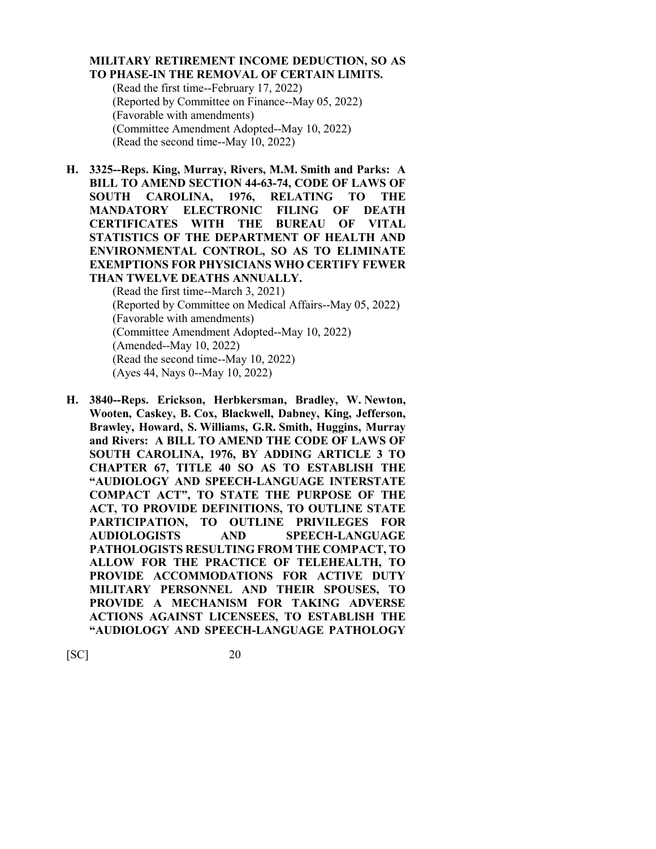#### **MILITARY RETIREMENT INCOME DEDUCTION, SO AS TO PHASE-IN THE REMOVAL OF CERTAIN LIMITS.**

(Read the first time--February 17, 2022) (Reported by Committee on Finance--May 05, 2022) (Favorable with amendments) (Committee Amendment Adopted--May 10, 2022) (Read the second time--May 10, 2022)

**H. 3325--Reps. King, Murray, Rivers, M.M. Smith and Parks: A BILL TO AMEND SECTION 44-63-74, CODE OF LAWS OF SOUTH CAROLINA, 1976, RELATING TO THE MANDATORY ELECTRONIC FILING OF DEATH CERTIFICATES WITH THE BUREAU OF VITAL STATISTICS OF THE DEPARTMENT OF HEALTH AND ENVIRONMENTAL CONTROL, SO AS TO ELIMINATE EXEMPTIONS FOR PHYSICIANS WHO CERTIFY FEWER THAN TWELVE DEATHS ANNUALLY.**

(Read the first time--March 3, 2021) (Reported by Committee on Medical Affairs--May 05, 2022) (Favorable with amendments) (Committee Amendment Adopted--May 10, 2022) (Amended--May 10, 2022) (Read the second time--May 10, 2022) (Ayes 44, Nays 0--May 10, 2022)

**H. 3840--Reps. Erickson, Herbkersman, Bradley, W. Newton, Wooten, Caskey, B. Cox, Blackwell, Dabney, King, Jefferson, Brawley, Howard, S. Williams, G.R. Smith, Huggins, Murray and Rivers: A BILL TO AMEND THE CODE OF LAWS OF SOUTH CAROLINA, 1976, BY ADDING ARTICLE 3 TO CHAPTER 67, TITLE 40 SO AS TO ESTABLISH THE "AUDIOLOGY AND SPEECH-LANGUAGE INTERSTATE COMPACT ACT", TO STATE THE PURPOSE OF THE ACT, TO PROVIDE DEFINITIONS, TO OUTLINE STATE PARTICIPATION, TO OUTLINE PRIVILEGES FOR AUDIOLOGISTS AND SPEECH-LANGUAGE PATHOLOGISTS RESULTING FROM THE COMPACT, TO ALLOW FOR THE PRACTICE OF TELEHEALTH, TO PROVIDE ACCOMMODATIONS FOR ACTIVE DUTY MILITARY PERSONNEL AND THEIR SPOUSES, TO PROVIDE A MECHANISM FOR TAKING ADVERSE ACTIONS AGAINST LICENSEES, TO ESTABLISH THE "AUDIOLOGY AND SPEECH-LANGUAGE PATHOLOGY**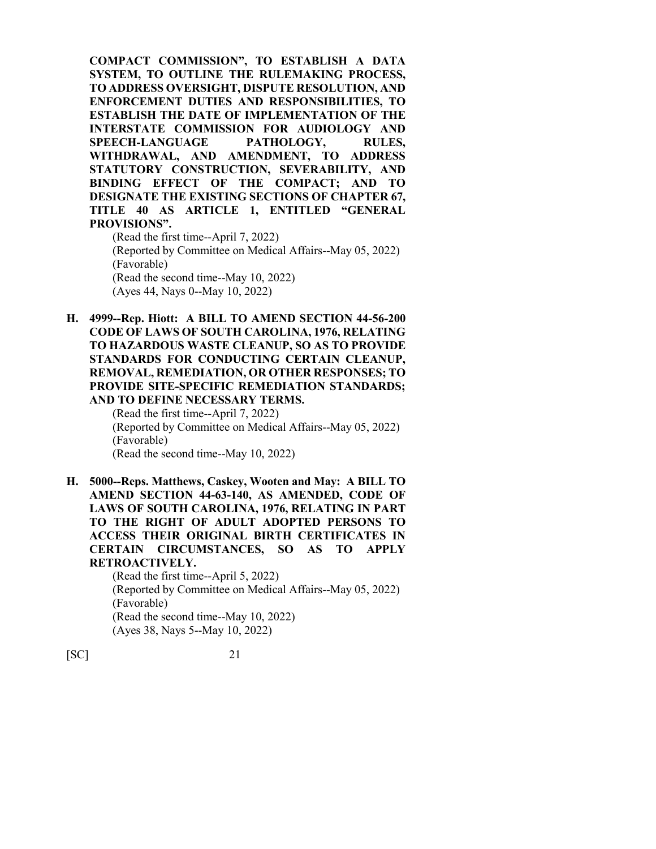**COMPACT COMMISSION", TO ESTABLISH A DATA SYSTEM, TO OUTLINE THE RULEMAKING PROCESS, TO ADDRESS OVERSIGHT, DISPUTE RESOLUTION, AND ENFORCEMENT DUTIES AND RESPONSIBILITIES, TO ESTABLISH THE DATE OF IMPLEMENTATION OF THE INTERSTATE COMMISSION FOR AUDIOLOGY AND SPEECH-LANGUAGE PATHOLOGY, RULES, WITHDRAWAL, AND AMENDMENT, TO ADDRESS STATUTORY CONSTRUCTION, SEVERABILITY, AND BINDING EFFECT OF THE COMPACT; AND TO DESIGNATE THE EXISTING SECTIONS OF CHAPTER 67, TITLE 40 AS ARTICLE 1, ENTITLED "GENERAL PROVISIONS".** (Read the first time--April 7, 2022)

(Reported by Committee on Medical Affairs--May 05, 2022) (Favorable) (Read the second time--May 10, 2022) (Ayes 44, Nays 0--May 10, 2022)

**H. 4999--Rep. Hiott: A BILL TO AMEND SECTION 44-56-200 CODE OF LAWS OF SOUTH CAROLINA, 1976, RELATING TO HAZARDOUS WASTE CLEANUP, SO AS TO PROVIDE STANDARDS FOR CONDUCTING CERTAIN CLEANUP, REMOVAL, REMEDIATION, OR OTHER RESPONSES; TO PROVIDE SITE-SPECIFIC REMEDIATION STANDARDS; AND TO DEFINE NECESSARY TERMS.**

(Read the first time--April 7, 2022) (Reported by Committee on Medical Affairs--May 05, 2022) (Favorable) (Read the second time--May 10, 2022)

**H. 5000--Reps. Matthews, Caskey, Wooten and May: A BILL TO AMEND SECTION 44-63-140, AS AMENDED, CODE OF LAWS OF SOUTH CAROLINA, 1976, RELATING IN PART TO THE RIGHT OF ADULT ADOPTED PERSONS TO ACCESS THEIR ORIGINAL BIRTH CERTIFICATES IN CERTAIN CIRCUMSTANCES, SO AS TO APPLY RETROACTIVELY.**

> (Read the first time--April 5, 2022) (Reported by Committee on Medical Affairs--May 05, 2022) (Favorable) (Read the second time--May 10, 2022) (Ayes 38, Nays 5--May 10, 2022)

[SC] 21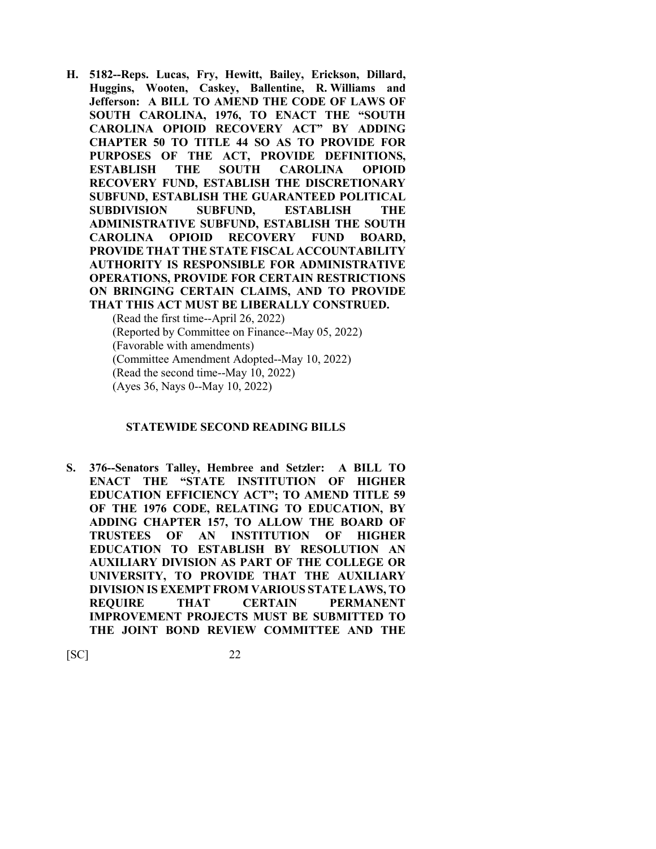**H. 5182--Reps. Lucas, Fry, Hewitt, Bailey, Erickson, Dillard, Huggins, Wooten, Caskey, Ballentine, R. Williams and Jefferson: A BILL TO AMEND THE CODE OF LAWS OF SOUTH CAROLINA, 1976, TO ENACT THE "SOUTH CAROLINA OPIOID RECOVERY ACT" BY ADDING CHAPTER 50 TO TITLE 44 SO AS TO PROVIDE FOR PURPOSES OF THE ACT, PROVIDE DEFINITIONS, ESTABLISH THE SOUTH CAROLINA OPIOID RECOVERY FUND, ESTABLISH THE DISCRETIONARY SUBFUND, ESTABLISH THE GUARANTEED POLITICAL SUBDIVISION SUBFUND, ESTABLISH THE ADMINISTRATIVE SUBFUND, ESTABLISH THE SOUTH CAROLINA OPIOID RECOVERY FUND BOARD, PROVIDE THAT THE STATE FISCAL ACCOUNTABILITY AUTHORITY IS RESPONSIBLE FOR ADMINISTRATIVE OPERATIONS, PROVIDE FOR CERTAIN RESTRICTIONS ON BRINGING CERTAIN CLAIMS, AND TO PROVIDE THAT THIS ACT MUST BE LIBERALLY CONSTRUED.** (Read the first time--April 26, 2022)

(Reported by Committee on Finance--May 05, 2022) (Favorable with amendments) (Committee Amendment Adopted--May 10, 2022) (Read the second time--May 10, 2022) (Ayes 36, Nays 0--May 10, 2022)

#### **STATEWIDE SECOND READING BILLS**

**S. 376--Senators Talley, Hembree and Setzler: A BILL TO ENACT THE "STATE INSTITUTION OF HIGHER EDUCATION EFFICIENCY ACT"; TO AMEND TITLE 59 OF THE 1976 CODE, RELATING TO EDUCATION, BY ADDING CHAPTER 157, TO ALLOW THE BOARD OF TRUSTEES OF AN INSTITUTION OF HIGHER EDUCATION TO ESTABLISH BY RESOLUTION AN AUXILIARY DIVISION AS PART OF THE COLLEGE OR UNIVERSITY, TO PROVIDE THAT THE AUXILIARY DIVISION IS EXEMPT FROM VARIOUS STATE LAWS, TO REQUIRE THAT CERTAIN PERMANENT IMPROVEMENT PROJECTS MUST BE SUBMITTED TO THE JOINT BOND REVIEW COMMITTEE AND THE**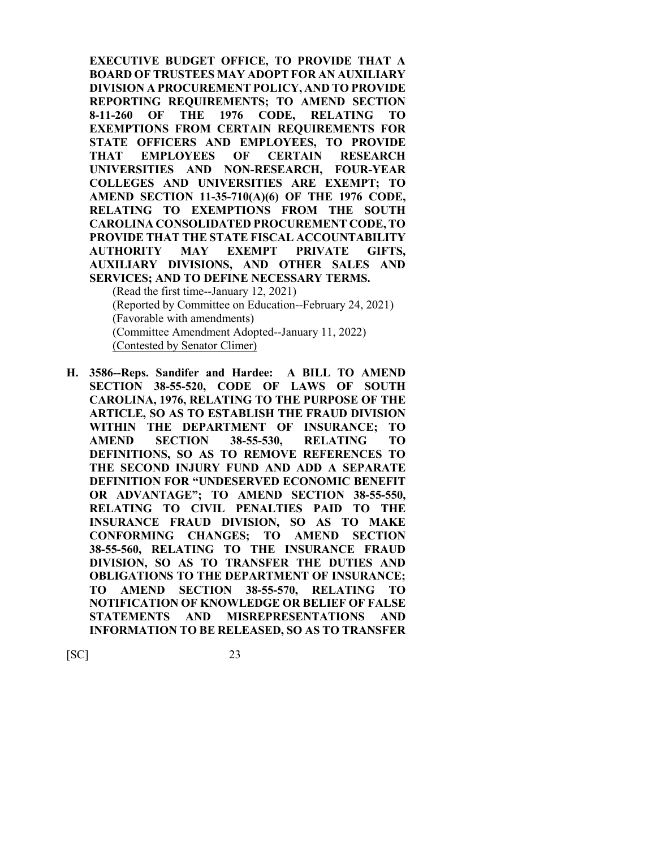**EXECUTIVE BUDGET OFFICE, TO PROVIDE THAT A BOARD OF TRUSTEES MAY ADOPT FOR AN AUXILIARY DIVISION A PROCUREMENT POLICY, AND TO PROVIDE REPORTING REQUIREMENTS; TO AMEND SECTION 8-11-260 OF THE 1976 CODE, RELATING TO EXEMPTIONS FROM CERTAIN REQUIREMENTS FOR STATE OFFICERS AND EMPLOYEES, TO PROVIDE THAT EMPLOYEES OF CERTAIN RESEARCH UNIVERSITIES AND NON-RESEARCH, FOUR-YEAR COLLEGES AND UNIVERSITIES ARE EXEMPT; TO AMEND SECTION 11-35-710(A)(6) OF THE 1976 CODE, RELATING TO EXEMPTIONS FROM THE SOUTH CAROLINA CONSOLIDATED PROCUREMENT CODE, TO PROVIDE THAT THE STATE FISCAL ACCOUNTABILITY AUTHORITY MAY EXEMPT PRIVATE GIFTS, AUXILIARY DIVISIONS, AND OTHER SALES AND SERVICES; AND TO DEFINE NECESSARY TERMS.** (Read the first time--January 12, 2021)

(Reported by Committee on Education--February 24, 2021) (Favorable with amendments) (Committee Amendment Adopted--January 11, 2022) (Contested by Senator Climer)

**H. 3586--Reps. Sandifer and Hardee: A BILL TO AMEND SECTION 38-55-520, CODE OF LAWS OF SOUTH CAROLINA, 1976, RELATING TO THE PURPOSE OF THE ARTICLE, SO AS TO ESTABLISH THE FRAUD DIVISION WITHIN THE DEPARTMENT OF INSURANCE; TO AMEND SECTION 38-55-530, RELATING TO DEFINITIONS, SO AS TO REMOVE REFERENCES TO THE SECOND INJURY FUND AND ADD A SEPARATE DEFINITION FOR "UNDESERVED ECONOMIC BENEFIT OR ADVANTAGE"; TO AMEND SECTION 38-55-550, RELATING TO CIVIL PENALTIES PAID TO THE INSURANCE FRAUD DIVISION, SO AS TO MAKE CONFORMING CHANGES; TO AMEND SECTION 38-55-560, RELATING TO THE INSURANCE FRAUD DIVISION, SO AS TO TRANSFER THE DUTIES AND OBLIGATIONS TO THE DEPARTMENT OF INSURANCE; TO AMEND SECTION 38-55-570, RELATING TO NOTIFICATION OF KNOWLEDGE OR BELIEF OF FALSE STATEMENTS AND MISREPRESENTATIONS AND INFORMATION TO BE RELEASED, SO AS TO TRANSFER**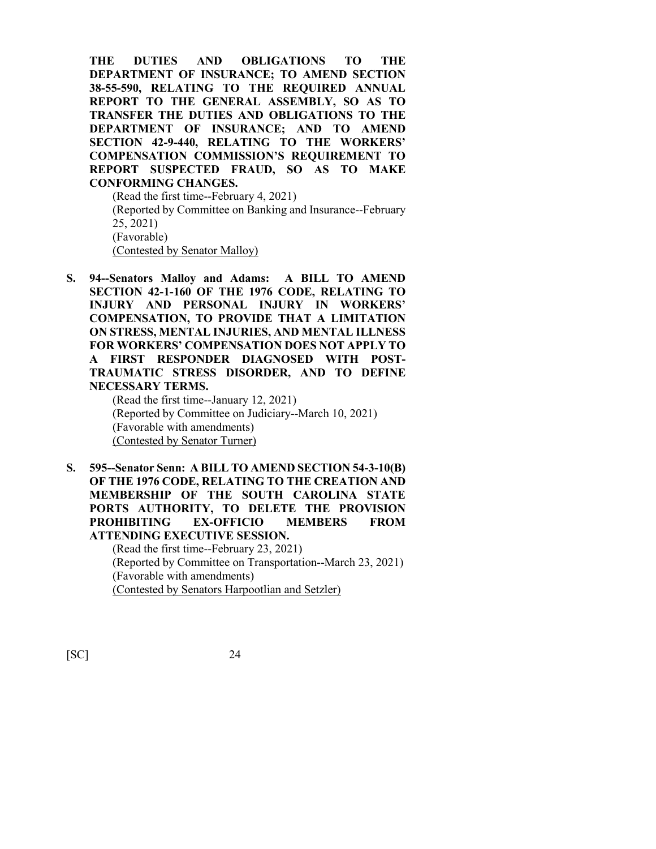**THE DUTIES AND OBLIGATIONS TO THE DEPARTMENT OF INSURANCE; TO AMEND SECTION 38-55-590, RELATING TO THE REQUIRED ANNUAL REPORT TO THE GENERAL ASSEMBLY, SO AS TO TRANSFER THE DUTIES AND OBLIGATIONS TO THE DEPARTMENT OF INSURANCE; AND TO AMEND SECTION 42-9-440, RELATING TO THE WORKERS' COMPENSATION COMMISSION'S REQUIREMENT TO REPORT SUSPECTED FRAUD, SO AS TO MAKE CONFORMING CHANGES.**

(Read the first time--February 4, 2021) (Reported by Committee on Banking and Insurance--February 25, 2021) (Favorable) (Contested by Senator Malloy)

**S. 94--Senators Malloy and Adams: A BILL TO AMEND SECTION 42-1-160 OF THE 1976 CODE, RELATING TO INJURY AND PERSONAL INJURY IN WORKERS' COMPENSATION, TO PROVIDE THAT A LIMITATION ON STRESS, MENTAL INJURIES, AND MENTAL ILLNESS FOR WORKERS' COMPENSATION DOES NOT APPLY TO A FIRST RESPONDER DIAGNOSED WITH POST-TRAUMATIC STRESS DISORDER, AND TO DEFINE NECESSARY TERMS.**

(Read the first time--January 12, 2021) (Reported by Committee on Judiciary--March 10, 2021) (Favorable with amendments) (Contested by Senator Turner)

**S. 595--Senator Senn: A BILL TO AMEND SECTION 54-3-10(B) OF THE 1976 CODE, RELATING TO THE CREATION AND MEMBERSHIP OF THE SOUTH CAROLINA STATE PORTS AUTHORITY, TO DELETE THE PROVISION PROHIBITING EX-OFFICIO MEMBERS FROM ATTENDING EXECUTIVE SESSION.**

(Read the first time--February 23, 2021) (Reported by Committee on Transportation--March 23, 2021) (Favorable with amendments) (Contested by Senators Harpootlian and Setzler)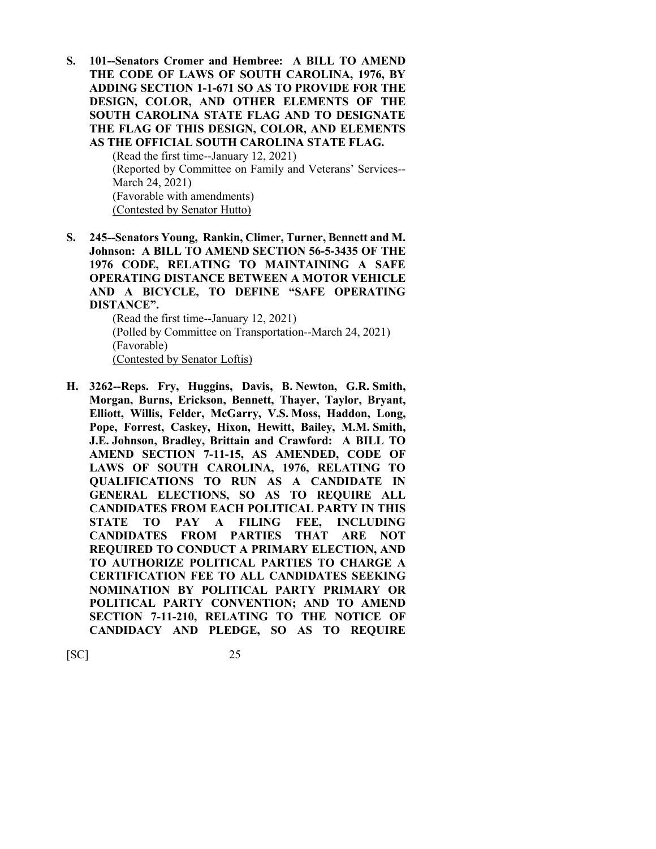**S. 101--Senators Cromer and Hembree: A BILL TO AMEND THE CODE OF LAWS OF SOUTH CAROLINA, 1976, BY ADDING SECTION 1-1-671 SO AS TO PROVIDE FOR THE DESIGN, COLOR, AND OTHER ELEMENTS OF THE SOUTH CAROLINA STATE FLAG AND TO DESIGNATE THE FLAG OF THIS DESIGN, COLOR, AND ELEMENTS AS THE OFFICIAL SOUTH CAROLINA STATE FLAG.**

> (Read the first time--January 12, 2021) (Reported by Committee on Family and Veterans' Services-- March 24, 2021) (Favorable with amendments) (Contested by Senator Hutto)

**S. 245--Senators Young, Rankin, Climer, Turner, Bennett and M. Johnson: A BILL TO AMEND SECTION 56-5-3435 OF THE 1976 CODE, RELATING TO MAINTAINING A SAFE OPERATING DISTANCE BETWEEN A MOTOR VEHICLE AND A BICYCLE, TO DEFINE "SAFE OPERATING DISTANCE".**

> (Read the first time--January 12, 2021) (Polled by Committee on Transportation--March 24, 2021) (Favorable) (Contested by Senator Loftis)

**H. 3262--Reps. Fry, Huggins, Davis, B. Newton, G.R. Smith, Morgan, Burns, Erickson, Bennett, Thayer, Taylor, Bryant, Elliott, Willis, Felder, McGarry, V.S. Moss, Haddon, Long, Pope, Forrest, Caskey, Hixon, Hewitt, Bailey, M.M. Smith, J.E. Johnson, Bradley, Brittain and Crawford: A BILL TO AMEND SECTION 7-11-15, AS AMENDED, CODE OF LAWS OF SOUTH CAROLINA, 1976, RELATING TO QUALIFICATIONS TO RUN AS A CANDIDATE IN GENERAL ELECTIONS, SO AS TO REQUIRE ALL CANDIDATES FROM EACH POLITICAL PARTY IN THIS STATE TO PAY A FILING FEE, INCLUDING CANDIDATES FROM PARTIES THAT ARE NOT REQUIRED TO CONDUCT A PRIMARY ELECTION, AND TO AUTHORIZE POLITICAL PARTIES TO CHARGE A CERTIFICATION FEE TO ALL CANDIDATES SEEKING NOMINATION BY POLITICAL PARTY PRIMARY OR POLITICAL PARTY CONVENTION; AND TO AMEND SECTION 7-11-210, RELATING TO THE NOTICE OF CANDIDACY AND PLEDGE, SO AS TO REQUIRE**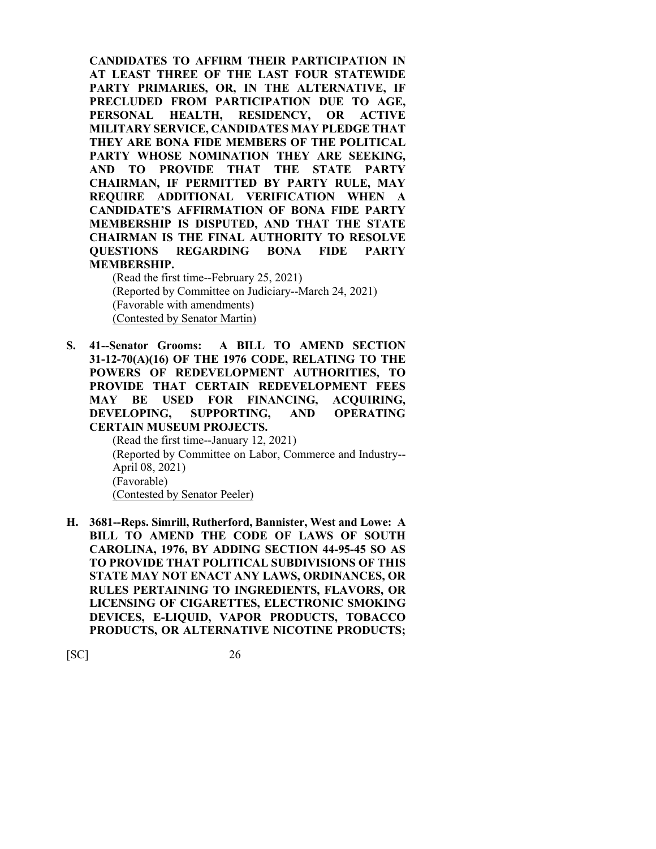**CANDIDATES TO AFFIRM THEIR PARTICIPATION IN AT LEAST THREE OF THE LAST FOUR STATEWIDE PARTY PRIMARIES, OR, IN THE ALTERNATIVE, IF PRECLUDED FROM PARTICIPATION DUE TO AGE, PERSONAL HEALTH, RESIDENCY, OR ACTIVE MILITARY SERVICE, CANDIDATES MAY PLEDGE THAT THEY ARE BONA FIDE MEMBERS OF THE POLITICAL PARTY WHOSE NOMINATION THEY ARE SEEKING, AND TO PROVIDE THAT THE STATE PARTY CHAIRMAN, IF PERMITTED BY PARTY RULE, MAY REQUIRE ADDITIONAL VERIFICATION WHEN A CANDIDATE'S AFFIRMATION OF BONA FIDE PARTY MEMBERSHIP IS DISPUTED, AND THAT THE STATE CHAIRMAN IS THE FINAL AUTHORITY TO RESOLVE QUESTIONS REGARDING BONA FIDE PARTY MEMBERSHIP.**

(Read the first time--February 25, 2021) (Reported by Committee on Judiciary--March 24, 2021) (Favorable with amendments) (Contested by Senator Martin)

**S. 41--Senator Grooms: A BILL TO AMEND SECTION 31-12-70(A)(16) OF THE 1976 CODE, RELATING TO THE POWERS OF REDEVELOPMENT AUTHORITIES, TO PROVIDE THAT CERTAIN REDEVELOPMENT FEES MAY BE USED FOR FINANCING, ACQUIRING, DEVELOPING, SUPPORTING, AND OPERATING CERTAIN MUSEUM PROJECTS.**

(Read the first time--January 12, 2021) (Reported by Committee on Labor, Commerce and Industry-- April 08, 2021) (Favorable) (Contested by Senator Peeler)

**H. 3681--Reps. Simrill, Rutherford, Bannister, West and Lowe: A BILL TO AMEND THE CODE OF LAWS OF SOUTH CAROLINA, 1976, BY ADDING SECTION 44-95-45 SO AS TO PROVIDE THAT POLITICAL SUBDIVISIONS OF THIS STATE MAY NOT ENACT ANY LAWS, ORDINANCES, OR RULES PERTAINING TO INGREDIENTS, FLAVORS, OR LICENSING OF CIGARETTES, ELECTRONIC SMOKING DEVICES, E-LIQUID, VAPOR PRODUCTS, TOBACCO PRODUCTS, OR ALTERNATIVE NICOTINE PRODUCTS;**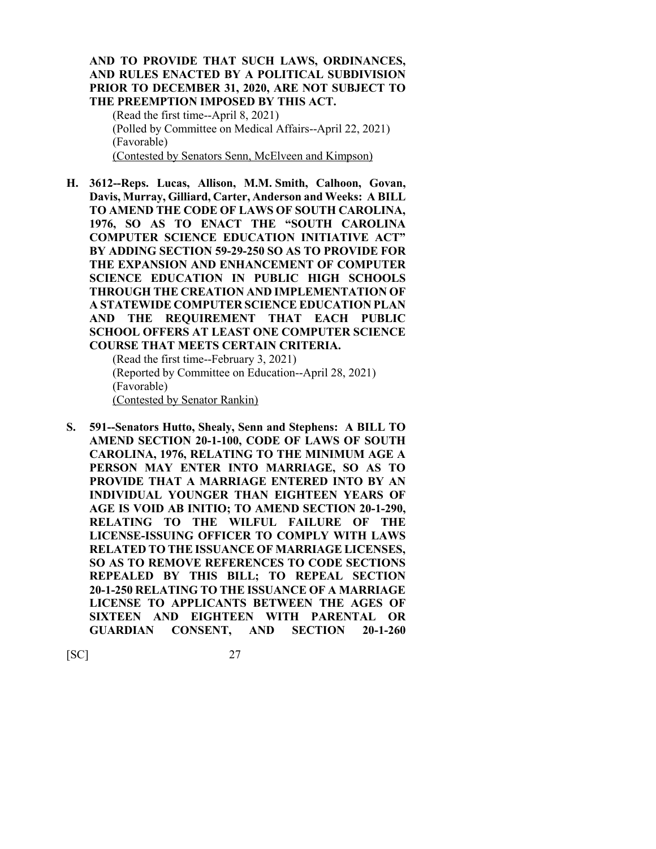**AND TO PROVIDE THAT SUCH LAWS, ORDINANCES, AND RULES ENACTED BY A POLITICAL SUBDIVISION PRIOR TO DECEMBER 31, 2020, ARE NOT SUBJECT TO THE PREEMPTION IMPOSED BY THIS ACT.** (Read the first time--April 8, 2021) (Polled by Committee on Medical Affairs--April 22, 2021) (Favorable)

(Contested by Senators Senn, McElveen and Kimpson)

**H. 3612--Reps. Lucas, Allison, M.M. Smith, Calhoon, Govan, Davis, Murray, Gilliard, Carter, Anderson and Weeks: A BILL TO AMEND THE CODE OF LAWS OF SOUTH CAROLINA, 1976, SO AS TO ENACT THE "SOUTH CAROLINA COMPUTER SCIENCE EDUCATION INITIATIVE ACT" BY ADDING SECTION 59-29-250 SO AS TO PROVIDE FOR THE EXPANSION AND ENHANCEMENT OF COMPUTER SCIENCE EDUCATION IN PUBLIC HIGH SCHOOLS THROUGH THE CREATION AND IMPLEMENTATION OF A STATEWIDE COMPUTER SCIENCE EDUCATION PLAN AND THE REQUIREMENT THAT EACH PUBLIC SCHOOL OFFERS AT LEAST ONE COMPUTER SCIENCE COURSE THAT MEETS CERTAIN CRITERIA.**

(Read the first time--February 3, 2021) (Reported by Committee on Education--April 28, 2021) (Favorable) (Contested by Senator Rankin)

**S. 591--Senators Hutto, Shealy, Senn and Stephens: A BILL TO AMEND SECTION 20-1-100, CODE OF LAWS OF SOUTH CAROLINA, 1976, RELATING TO THE MINIMUM AGE A PERSON MAY ENTER INTO MARRIAGE, SO AS TO PROVIDE THAT A MARRIAGE ENTERED INTO BY AN INDIVIDUAL YOUNGER THAN EIGHTEEN YEARS OF AGE IS VOID AB INITIO; TO AMEND SECTION 20-1-290, RELATING TO THE WILFUL FAILURE OF THE LICENSE-ISSUING OFFICER TO COMPLY WITH LAWS RELATED TO THE ISSUANCE OF MARRIAGE LICENSES, SO AS TO REMOVE REFERENCES TO CODE SECTIONS REPEALED BY THIS BILL; TO REPEAL SECTION 20-1-250 RELATING TO THE ISSUANCE OF A MARRIAGE LICENSE TO APPLICANTS BETWEEN THE AGES OF SIXTEEN AND EIGHTEEN WITH PARENTAL OR GUARDIAN CONSENT, AND SECTION 20-1-260**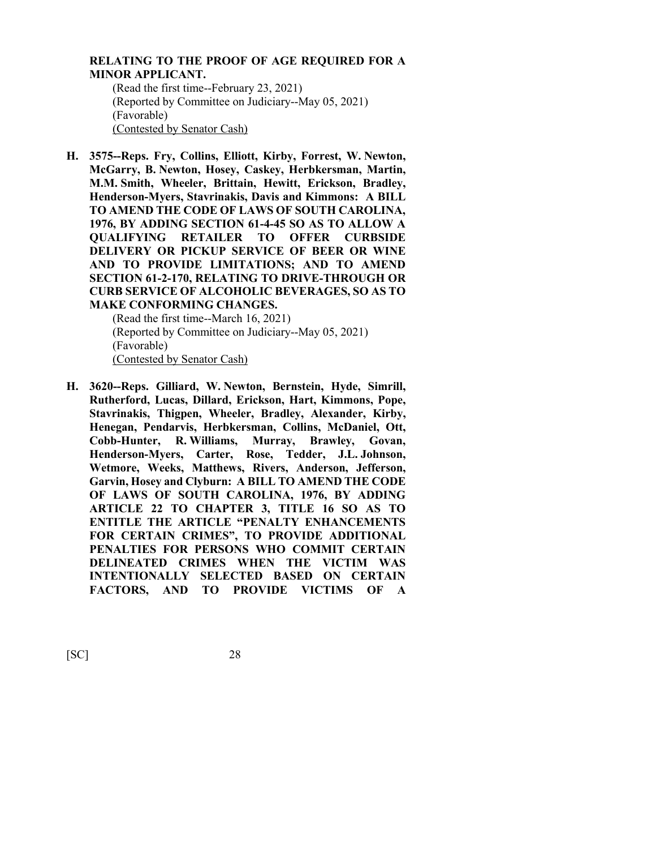### **RELATING TO THE PROOF OF AGE REQUIRED FOR A MINOR APPLICANT.**

(Read the first time--February 23, 2021) (Reported by Committee on Judiciary--May 05, 2021) (Favorable) (Contested by Senator Cash)

**H. 3575--Reps. Fry, Collins, Elliott, Kirby, Forrest, W. Newton, McGarry, B. Newton, Hosey, Caskey, Herbkersman, Martin, M.M. Smith, Wheeler, Brittain, Hewitt, Erickson, Bradley, Henderson-Myers, Stavrinakis, Davis and Kimmons: A BILL TO AMEND THE CODE OF LAWS OF SOUTH CAROLINA, 1976, BY ADDING SECTION 61-4-45 SO AS TO ALLOW A QUALIFYING RETAILER TO OFFER CURBSIDE DELIVERY OR PICKUP SERVICE OF BEER OR WINE AND TO PROVIDE LIMITATIONS; AND TO AMEND SECTION 61-2-170, RELATING TO DRIVE-THROUGH OR CURB SERVICE OF ALCOHOLIC BEVERAGES, SO AS TO MAKE CONFORMING CHANGES.**

(Read the first time--March 16, 2021) (Reported by Committee on Judiciary--May 05, 2021) (Favorable) (Contested by Senator Cash)

**H. 3620--Reps. Gilliard, W. Newton, Bernstein, Hyde, Simrill, Rutherford, Lucas, Dillard, Erickson, Hart, Kimmons, Pope, Stavrinakis, Thigpen, Wheeler, Bradley, Alexander, Kirby, Henegan, Pendarvis, Herbkersman, Collins, McDaniel, Ott, Cobb-Hunter, R. Williams, Murray, Brawley, Govan, Henderson-Myers, Carter, Rose, Tedder, J.L. Johnson, Wetmore, Weeks, Matthews, Rivers, Anderson, Jefferson, Garvin, Hosey and Clyburn: A BILL TO AMEND THE CODE OF LAWS OF SOUTH CAROLINA, 1976, BY ADDING ARTICLE 22 TO CHAPTER 3, TITLE 16 SO AS TO ENTITLE THE ARTICLE "PENALTY ENHANCEMENTS FOR CERTAIN CRIMES", TO PROVIDE ADDITIONAL PENALTIES FOR PERSONS WHO COMMIT CERTAIN DELINEATED CRIMES WHEN THE VICTIM WAS INTENTIONALLY SELECTED BASED ON CERTAIN FACTORS, AND TO PROVIDE VICTIMS OF A**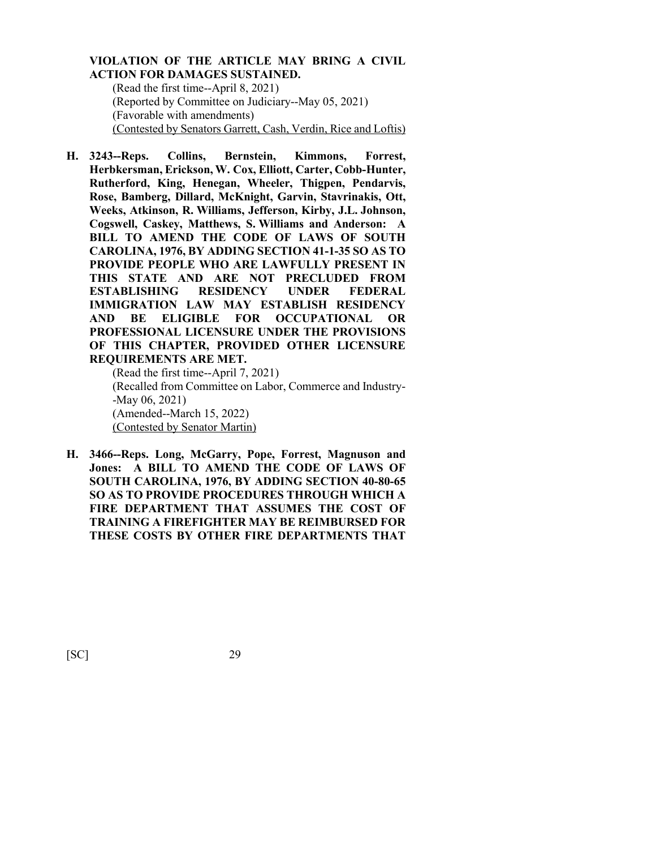### **VIOLATION OF THE ARTICLE MAY BRING A CIVIL ACTION FOR DAMAGES SUSTAINED.**

(Read the first time--April 8, 2021) (Reported by Committee on Judiciary--May 05, 2021) (Favorable with amendments) (Contested by Senators Garrett, Cash, Verdin, Rice and Loftis)

**H. 3243--Reps. Collins, Bernstein, Kimmons, Forrest, Herbkersman, Erickson, W. Cox, Elliott, Carter, Cobb-Hunter, Rutherford, King, Henegan, Wheeler, Thigpen, Pendarvis, Rose, Bamberg, Dillard, McKnight, Garvin, Stavrinakis, Ott, Weeks, Atkinson, R. Williams, Jefferson, Kirby, J.L. Johnson, Cogswell, Caskey, Matthews, S. Williams and Anderson: A BILL TO AMEND THE CODE OF LAWS OF SOUTH CAROLINA, 1976, BY ADDING SECTION 41-1-35 SO AS TO PROVIDE PEOPLE WHO ARE LAWFULLY PRESENT IN THIS STATE AND ARE NOT PRECLUDED FROM ESTABLISHING RESIDENCY UNDER FEDERAL IMMIGRATION LAW MAY ESTABLISH RESIDENCY AND BE ELIGIBLE FOR OCCUPATIONAL OR PROFESSIONAL LICENSURE UNDER THE PROVISIONS OF THIS CHAPTER, PROVIDED OTHER LICENSURE REQUIREMENTS ARE MET.**

(Read the first time--April 7, 2021) (Recalled from Committee on Labor, Commerce and Industry- -May 06, 2021) (Amended--March 15, 2022) (Contested by Senator Martin)

**H. 3466--Reps. Long, McGarry, Pope, Forrest, Magnuson and Jones: A BILL TO AMEND THE CODE OF LAWS OF SOUTH CAROLINA, 1976, BY ADDING SECTION 40-80-65 SO AS TO PROVIDE PROCEDURES THROUGH WHICH A FIRE DEPARTMENT THAT ASSUMES THE COST OF TRAINING A FIREFIGHTER MAY BE REIMBURSED FOR THESE COSTS BY OTHER FIRE DEPARTMENTS THAT**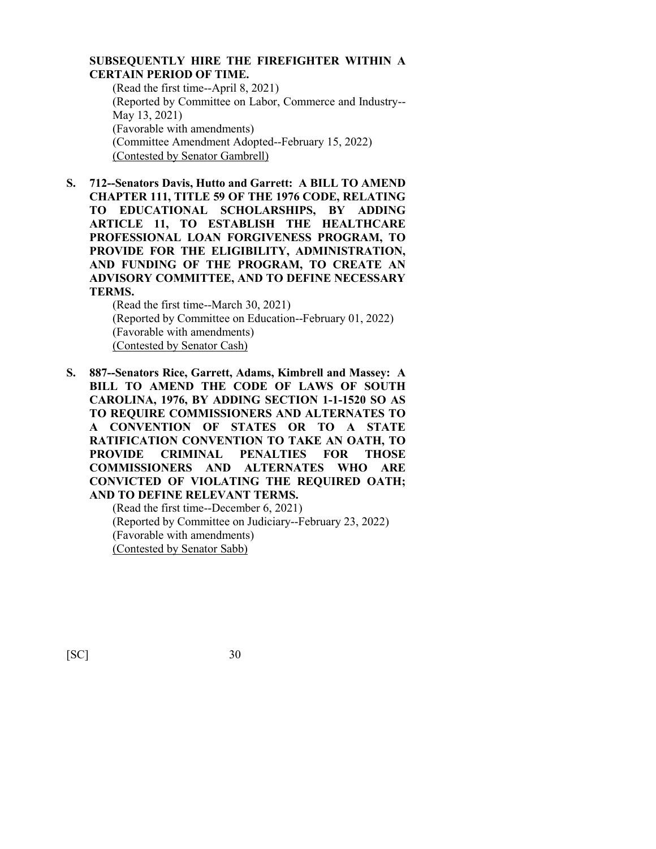## **SUBSEQUENTLY HIRE THE FIREFIGHTER WITHIN A CERTAIN PERIOD OF TIME.**

(Read the first time--April 8, 2021) (Reported by Committee on Labor, Commerce and Industry-- May 13, 2021) (Favorable with amendments) (Committee Amendment Adopted--February 15, 2022) (Contested by Senator Gambrell)

**S. 712--Senators Davis, Hutto and Garrett: A BILL TO AMEND CHAPTER 111, TITLE 59 OF THE 1976 CODE, RELATING TO EDUCATIONAL SCHOLARSHIPS, BY ADDING ARTICLE 11, TO ESTABLISH THE HEALTHCARE PROFESSIONAL LOAN FORGIVENESS PROGRAM, TO PROVIDE FOR THE ELIGIBILITY, ADMINISTRATION, AND FUNDING OF THE PROGRAM, TO CREATE AN ADVISORY COMMITTEE, AND TO DEFINE NECESSARY TERMS.**

(Read the first time--March 30, 2021) (Reported by Committee on Education--February 01, 2022) (Favorable with amendments) (Contested by Senator Cash)

**S. 887--Senators Rice, Garrett, Adams, Kimbrell and Massey: A BILL TO AMEND THE CODE OF LAWS OF SOUTH CAROLINA, 1976, BY ADDING SECTION 1-1-1520 SO AS TO REQUIRE COMMISSIONERS AND ALTERNATES TO A CONVENTION OF STATES OR TO A STATE RATIFICATION CONVENTION TO TAKE AN OATH, TO PROVIDE CRIMINAL PENALTIES FOR THOSE COMMISSIONERS AND ALTERNATES WHO ARE CONVICTED OF VIOLATING THE REQUIRED OATH; AND TO DEFINE RELEVANT TERMS.**

(Read the first time--December 6, 2021) (Reported by Committee on Judiciary--February 23, 2022) (Favorable with amendments) (Contested by Senator Sabb)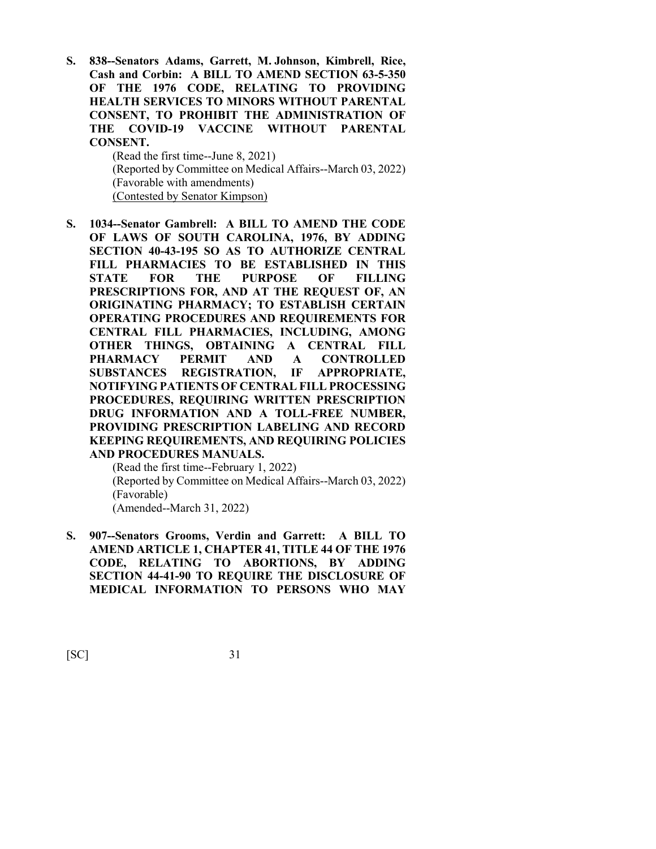**S. 838--Senators Adams, Garrett, M. Johnson, Kimbrell, Rice, Cash and Corbin: A BILL TO AMEND SECTION 63-5-350 OF THE 1976 CODE, RELATING TO PROVIDING HEALTH SERVICES TO MINORS WITHOUT PARENTAL CONSENT, TO PROHIBIT THE ADMINISTRATION OF THE COVID-19 VACCINE WITHOUT PARENTAL CONSENT.**

> (Read the first time--June 8, 2021) (Reported by Committee on Medical Affairs--March 03, 2022) (Favorable with amendments) (Contested by Senator Kimpson)

**S. 1034--Senator Gambrell: A BILL TO AMEND THE CODE OF LAWS OF SOUTH CAROLINA, 1976, BY ADDING SECTION 40-43-195 SO AS TO AUTHORIZE CENTRAL FILL PHARMACIES TO BE ESTABLISHED IN THIS STATE FOR THE PURPOSE OF FILLING PRESCRIPTIONS FOR, AND AT THE REQUEST OF, AN ORIGINATING PHARMACY; TO ESTABLISH CERTAIN OPERATING PROCEDURES AND REQUIREMENTS FOR CENTRAL FILL PHARMACIES, INCLUDING, AMONG OTHER THINGS, OBTAINING A CENTRAL FILL PHARMACY PERMIT AND A CONTROLLED SUBSTANCES REGISTRATION, IF APPROPRIATE, NOTIFYING PATIENTS OF CENTRAL FILL PROCESSING PROCEDURES, REQUIRING WRITTEN PRESCRIPTION DRUG INFORMATION AND A TOLL-FREE NUMBER, PROVIDING PRESCRIPTION LABELING AND RECORD KEEPING REQUIREMENTS, AND REQUIRING POLICIES AND PROCEDURES MANUALS.**

(Read the first time--February 1, 2022) (Reported by Committee on Medical Affairs--March 03, 2022) (Favorable) (Amended--March 31, 2022)

**S. 907--Senators Grooms, Verdin and Garrett: A BILL TO AMEND ARTICLE 1, CHAPTER 41, TITLE 44 OF THE 1976 CODE, RELATING TO ABORTIONS, BY ADDING SECTION 44-41-90 TO REQUIRE THE DISCLOSURE OF MEDICAL INFORMATION TO PERSONS WHO MAY**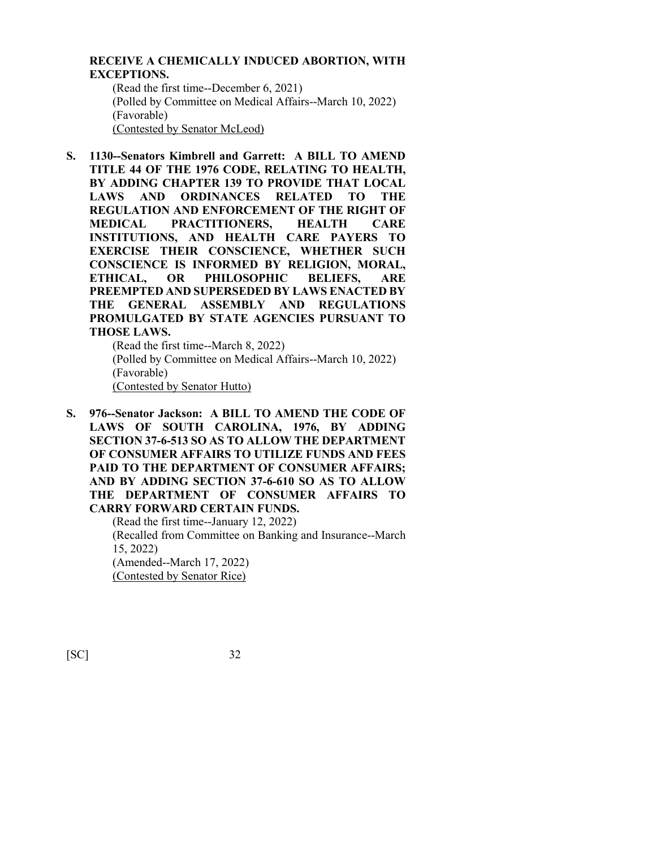#### **RECEIVE A CHEMICALLY INDUCED ABORTION, WITH EXCEPTIONS.**

(Read the first time--December 6, 2021) (Polled by Committee on Medical Affairs--March 10, 2022) (Favorable) (Contested by Senator McLeod)

**S. 1130--Senators Kimbrell and Garrett: A BILL TO AMEND TITLE 44 OF THE 1976 CODE, RELATING TO HEALTH, BY ADDING CHAPTER 139 TO PROVIDE THAT LOCAL LAWS AND ORDINANCES RELATED TO THE REGULATION AND ENFORCEMENT OF THE RIGHT OF MEDICAL PRACTITIONERS, HEALTH CARE INSTITUTIONS, AND HEALTH CARE PAYERS TO EXERCISE THEIR CONSCIENCE, WHETHER SUCH CONSCIENCE IS INFORMED BY RELIGION, MORAL, ETHICAL, OR PHILOSOPHIC BELIEFS, ARE PREEMPTED AND SUPERSEDED BY LAWS ENACTED BY THE GENERAL ASSEMBLY AND REGULATIONS PROMULGATED BY STATE AGENCIES PURSUANT TO THOSE LAWS.**

(Read the first time--March 8, 2022) (Polled by Committee on Medical Affairs--March 10, 2022) (Favorable) (Contested by Senator Hutto)

**S. 976--Senator Jackson: A BILL TO AMEND THE CODE OF LAWS OF SOUTH CAROLINA, 1976, BY ADDING SECTION 37-6-513 SO AS TO ALLOW THE DEPARTMENT OF CONSUMER AFFAIRS TO UTILIZE FUNDS AND FEES PAID TO THE DEPARTMENT OF CONSUMER AFFAIRS; AND BY ADDING SECTION 37-6-610 SO AS TO ALLOW THE DEPARTMENT OF CONSUMER AFFAIRS TO CARRY FORWARD CERTAIN FUNDS.**

(Read the first time--January 12, 2022) (Recalled from Committee on Banking and Insurance--March 15, 2022) (Amended--March 17, 2022) (Contested by Senator Rice)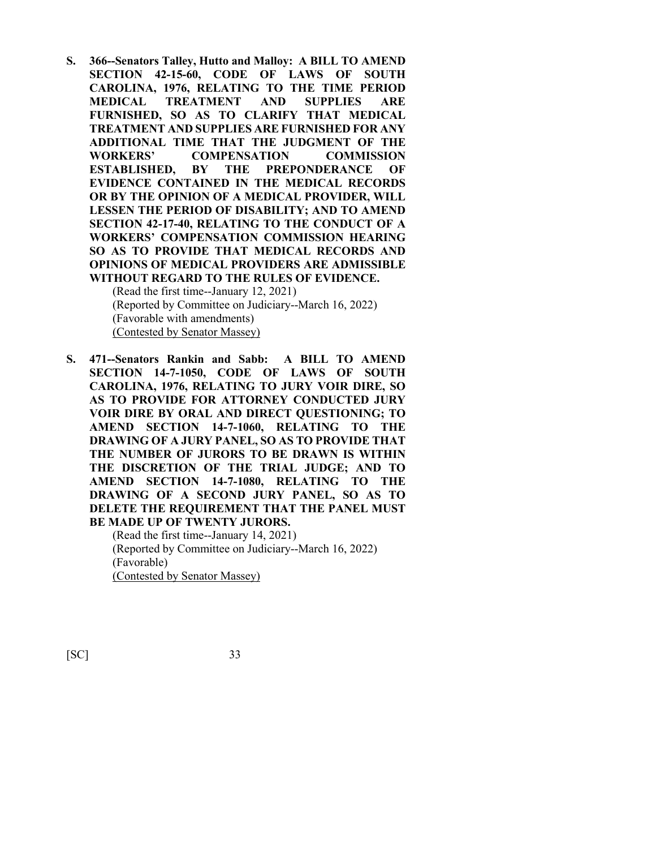**S. 366--Senators Talley, Hutto and Malloy: A BILL TO AMEND SECTION 42-15-60, CODE OF LAWS OF SOUTH CAROLINA, 1976, RELATING TO THE TIME PERIOD MEDICAL TREATMENT AND SUPPLIES ARE FURNISHED, SO AS TO CLARIFY THAT MEDICAL TREATMENT AND SUPPLIES ARE FURNISHED FOR ANY ADDITIONAL TIME THAT THE JUDGMENT OF THE WORKERS' COMPENSATION COMMISSION ESTABLISHED, BY THE PREPONDERANCE OF EVIDENCE CONTAINED IN THE MEDICAL RECORDS OR BY THE OPINION OF A MEDICAL PROVIDER, WILL LESSEN THE PERIOD OF DISABILITY; AND TO AMEND SECTION 42-17-40, RELATING TO THE CONDUCT OF A WORKERS' COMPENSATION COMMISSION HEARING SO AS TO PROVIDE THAT MEDICAL RECORDS AND OPINIONS OF MEDICAL PROVIDERS ARE ADMISSIBLE WITHOUT REGARD TO THE RULES OF EVIDENCE.** 

(Read the first time--January 12, 2021) (Reported by Committee on Judiciary--March 16, 2022) (Favorable with amendments) (Contested by Senator Massey)

**S. 471--Senators Rankin and Sabb: A BILL TO AMEND SECTION 14-7-1050, CODE OF LAWS OF SOUTH CAROLINA, 1976, RELATING TO JURY VOIR DIRE, SO AS TO PROVIDE FOR ATTORNEY CONDUCTED JURY VOIR DIRE BY ORAL AND DIRECT QUESTIONING; TO AMEND SECTION 14-7-1060, RELATING TO THE DRAWING OF A JURY PANEL, SO AS TO PROVIDE THAT THE NUMBER OF JURORS TO BE DRAWN IS WITHIN THE DISCRETION OF THE TRIAL JUDGE; AND TO AMEND SECTION 14-7-1080, RELATING TO THE DRAWING OF A SECOND JURY PANEL, SO AS TO DELETE THE REQUIREMENT THAT THE PANEL MUST BE MADE UP OF TWENTY JURORS.**

> (Read the first time--January 14, 2021) (Reported by Committee on Judiciary--March 16, 2022) (Favorable) (Contested by Senator Massey)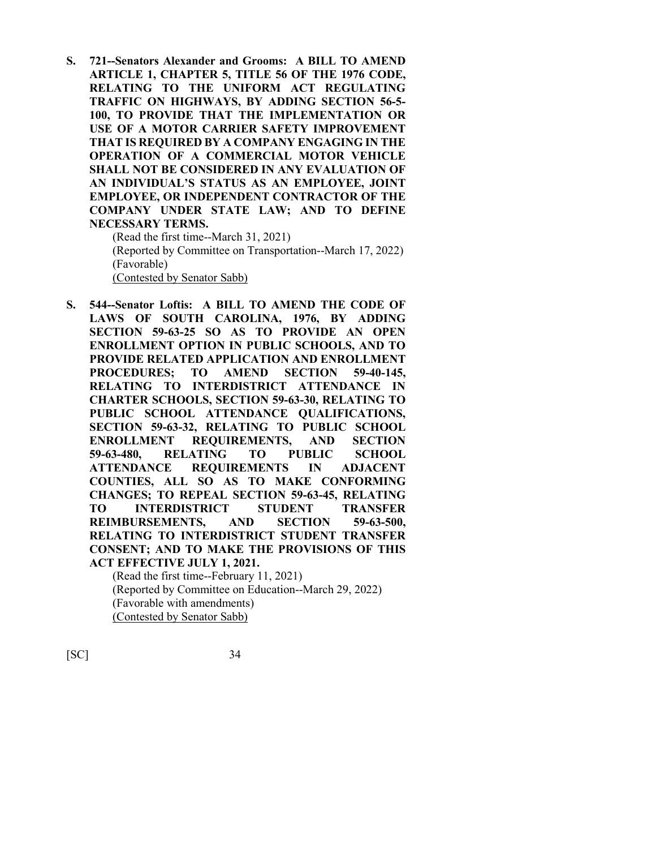**S. 721--Senators Alexander and Grooms: A BILL TO AMEND ARTICLE 1, CHAPTER 5, TITLE 56 OF THE 1976 CODE, RELATING TO THE UNIFORM ACT REGULATING TRAFFIC ON HIGHWAYS, BY ADDING SECTION 56-5- 100, TO PROVIDE THAT THE IMPLEMENTATION OR USE OF A MOTOR CARRIER SAFETY IMPROVEMENT THAT IS REQUIRED BY A COMPANY ENGAGING IN THE OPERATION OF A COMMERCIAL MOTOR VEHICLE SHALL NOT BE CONSIDERED IN ANY EVALUATION OF AN INDIVIDUAL'S STATUS AS AN EMPLOYEE, JOINT EMPLOYEE, OR INDEPENDENT CONTRACTOR OF THE COMPANY UNDER STATE LAW; AND TO DEFINE NECESSARY TERMS.**

(Read the first time--March 31, 2021) (Reported by Committee on Transportation--March 17, 2022) (Favorable) (Contested by Senator Sabb)

**S. 544--Senator Loftis: A BILL TO AMEND THE CODE OF LAWS OF SOUTH CAROLINA, 1976, BY ADDING SECTION 59-63-25 SO AS TO PROVIDE AN OPEN ENROLLMENT OPTION IN PUBLIC SCHOOLS, AND TO PROVIDE RELATED APPLICATION AND ENROLLMENT PROCEDURES; TO AMEND SECTION 59-40-145, RELATING TO INTERDISTRICT ATTENDANCE IN CHARTER SCHOOLS, SECTION 59-63-30, RELATING TO PUBLIC SCHOOL ATTENDANCE QUALIFICATIONS, SECTION 59-63-32, RELATING TO PUBLIC SCHOOL ENROLLMENT REQUIREMENTS, AND SECTION 59-63-480, RELATING TO PUBLIC SCHOOL ATTENDANCE REQUIREMENTS IN ADJACENT COUNTIES, ALL SO AS TO MAKE CONFORMING CHANGES; TO REPEAL SECTION 59-63-45, RELATING TO INTERDISTRICT STUDENT TRANSFER REIMBURSEMENTS, AND SECTION 59-63-500, RELATING TO INTERDISTRICT STUDENT TRANSFER CONSENT; AND TO MAKE THE PROVISIONS OF THIS ACT EFFECTIVE JULY 1, 2021.** 

(Read the first time--February 11, 2021) (Reported by Committee on Education--March 29, 2022) (Favorable with amendments) (Contested by Senator Sabb)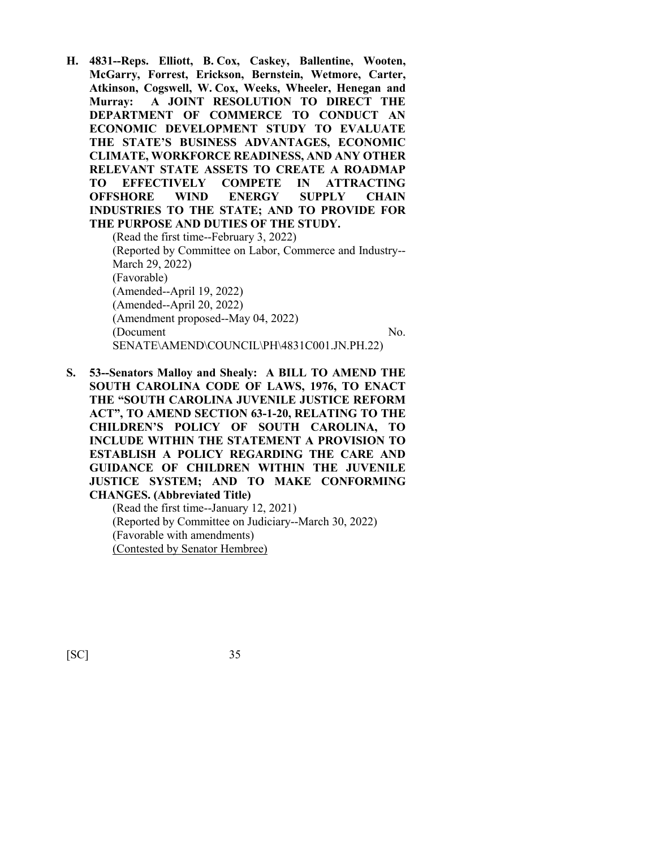**H. 4831--Reps. Elliott, B. Cox, Caskey, Ballentine, Wooten, McGarry, Forrest, Erickson, Bernstein, Wetmore, Carter, Atkinson, Cogswell, W. Cox, Weeks, Wheeler, Henegan and Murray: A JOINT RESOLUTION TO DIRECT THE DEPARTMENT OF COMMERCE TO CONDUCT AN ECONOMIC DEVELOPMENT STUDY TO EVALUATE THE STATE'S BUSINESS ADVANTAGES, ECONOMIC CLIMATE, WORKFORCE READINESS, AND ANY OTHER RELEVANT STATE ASSETS TO CREATE A ROADMAP TO EFFECTIVELY COMPETE IN ATTRACTING OFFSHORE WIND ENERGY SUPPLY CHAIN INDUSTRIES TO THE STATE; AND TO PROVIDE FOR THE PURPOSE AND DUTIES OF THE STUDY.**

(Read the first time--February 3, 2022) (Reported by Committee on Labor, Commerce and Industry-- March 29, 2022) (Favorable) (Amended--April 19, 2022) (Amended--April 20, 2022) (Amendment proposed--May 04, 2022) (Document No. SENATE\AMEND\COUNCIL\PH\4831C001.JN.PH.22)

**S. 53--Senators Malloy and Shealy: A BILL TO AMEND THE SOUTH CAROLINA CODE OF LAWS, 1976, TO ENACT THE "SOUTH CAROLINA JUVENILE JUSTICE REFORM ACT", TO AMEND SECTION 63-1-20, RELATING TO THE CHILDREN'S POLICY OF SOUTH CAROLINA, TO INCLUDE WITHIN THE STATEMENT A PROVISION TO ESTABLISH A POLICY REGARDING THE CARE AND GUIDANCE OF CHILDREN WITHIN THE JUVENILE JUSTICE SYSTEM; AND TO MAKE CONFORMING CHANGES. (Abbreviated Title)**

> (Read the first time--January 12, 2021) (Reported by Committee on Judiciary--March 30, 2022) (Favorable with amendments) (Contested by Senator Hembree)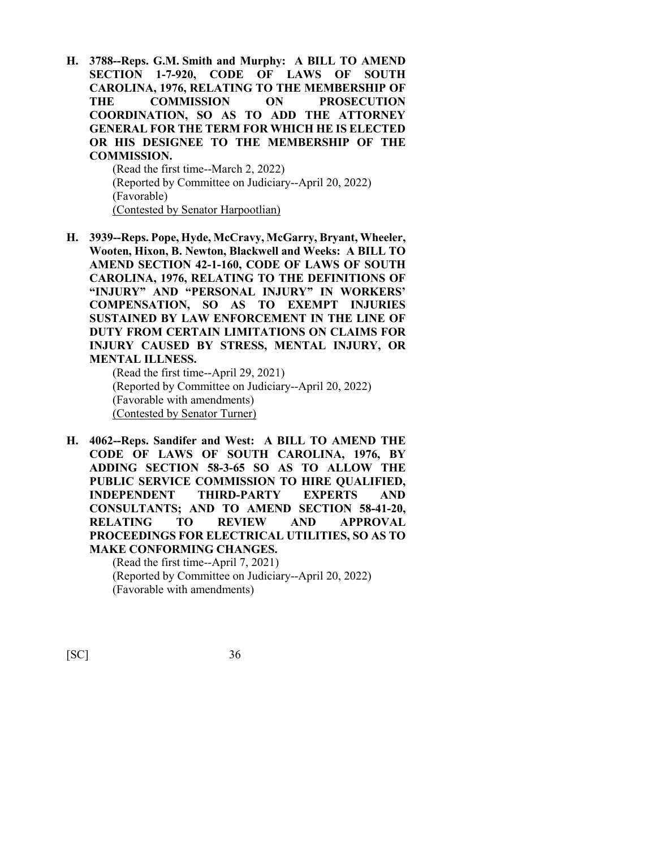**H. 3788--Reps. G.M. Smith and Murphy: A BILL TO AMEND SECTION 1-7-920, CODE OF LAWS OF SOUTH CAROLINA, 1976, RELATING TO THE MEMBERSHIP OF THE COMMISSION ON PROSECUTION COORDINATION, SO AS TO ADD THE ATTORNEY GENERAL FOR THE TERM FOR WHICH HE IS ELECTED OR HIS DESIGNEE TO THE MEMBERSHIP OF THE COMMISSION.**

> (Read the first time--March 2, 2022) (Reported by Committee on Judiciary--April 20, 2022) (Favorable) (Contested by Senator Harpootlian)

**H. 3939--Reps. Pope, Hyde, McCravy, McGarry, Bryant, Wheeler, Wooten, Hixon, B. Newton, Blackwell and Weeks: A BILL TO AMEND SECTION 42-1-160, CODE OF LAWS OF SOUTH CAROLINA, 1976, RELATING TO THE DEFINITIONS OF "INJURY" AND "PERSONAL INJURY" IN WORKERS' COMPENSATION, SO AS TO EXEMPT INJURIES SUSTAINED BY LAW ENFORCEMENT IN THE LINE OF DUTY FROM CERTAIN LIMITATIONS ON CLAIMS FOR INJURY CAUSED BY STRESS, MENTAL INJURY, OR MENTAL ILLNESS.**

(Read the first time--April 29, 2021) (Reported by Committee on Judiciary--April 20, 2022) (Favorable with amendments) (Contested by Senator Turner)

**H. 4062--Reps. Sandifer and West: A BILL TO AMEND THE CODE OF LAWS OF SOUTH CAROLINA, 1976, BY ADDING SECTION 58-3-65 SO AS TO ALLOW THE PUBLIC SERVICE COMMISSION TO HIRE QUALIFIED, INDEPENDENT THIRD-PARTY EXPERTS AND CONSULTANTS; AND TO AMEND SECTION 58-41-20, RELATING TO REVIEW AND APPROVAL PROCEEDINGS FOR ELECTRICAL UTILITIES, SO AS TO MAKE CONFORMING CHANGES.**

> (Read the first time--April 7, 2021) (Reported by Committee on Judiciary--April 20, 2022) (Favorable with amendments)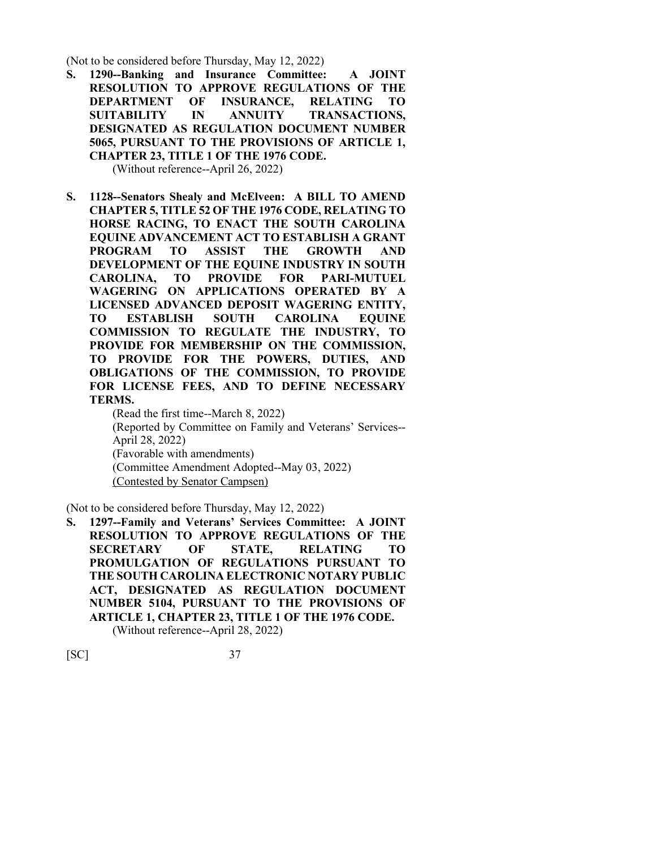(Not to be considered before Thursday, May 12, 2022)

**S. 1290--Banking and Insurance Committee: A JOINT RESOLUTION TO APPROVE REGULATIONS OF THE DEPARTMENT OF INSURANCE, RELATING TO SUITABILITY IN ANNUITY TRANSACTIONS, DESIGNATED AS REGULATION DOCUMENT NUMBER 5065, PURSUANT TO THE PROVISIONS OF ARTICLE 1, CHAPTER 23, TITLE 1 OF THE 1976 CODE.**

(Without reference--April 26, 2022)

**S. 1128--Senators Shealy and McElveen: A BILL TO AMEND CHAPTER 5, TITLE 52 OF THE 1976 CODE, RELATING TO HORSE RACING, TO ENACT THE SOUTH CAROLINA EQUINE ADVANCEMENT ACT TO ESTABLISH A GRANT PROGRAM TO ASSIST THE GROWTH AND DEVELOPMENT OF THE EQUINE INDUSTRY IN SOUTH CAROLINA, TO PROVIDE FOR PARI-MUTUEL WAGERING ON APPLICATIONS OPERATED BY A LICENSED ADVANCED DEPOSIT WAGERING ENTITY, TO ESTABLISH SOUTH CAROLINA EQUINE COMMISSION TO REGULATE THE INDUSTRY, TO PROVIDE FOR MEMBERSHIP ON THE COMMISSION, TO PROVIDE FOR THE POWERS, DUTIES, AND OBLIGATIONS OF THE COMMISSION, TO PROVIDE FOR LICENSE FEES, AND TO DEFINE NECESSARY TERMS.**

(Read the first time--March 8, 2022) (Reported by Committee on Family and Veterans' Services-- April 28, 2022) (Favorable with amendments) (Committee Amendment Adopted--May 03, 2022) (Contested by Senator Campsen)

(Not to be considered before Thursday, May 12, 2022)

**S. 1297--Family and Veterans' Services Committee: A JOINT RESOLUTION TO APPROVE REGULATIONS OF THE SECRETARY OF STATE, RELATING TO PROMULGATION OF REGULATIONS PURSUANT TO THE SOUTH CAROLINA ELECTRONIC NOTARY PUBLIC ACT, DESIGNATED AS REGULATION DOCUMENT NUMBER 5104, PURSUANT TO THE PROVISIONS OF ARTICLE 1, CHAPTER 23, TITLE 1 OF THE 1976 CODE.** (Without reference--April 28, 2022)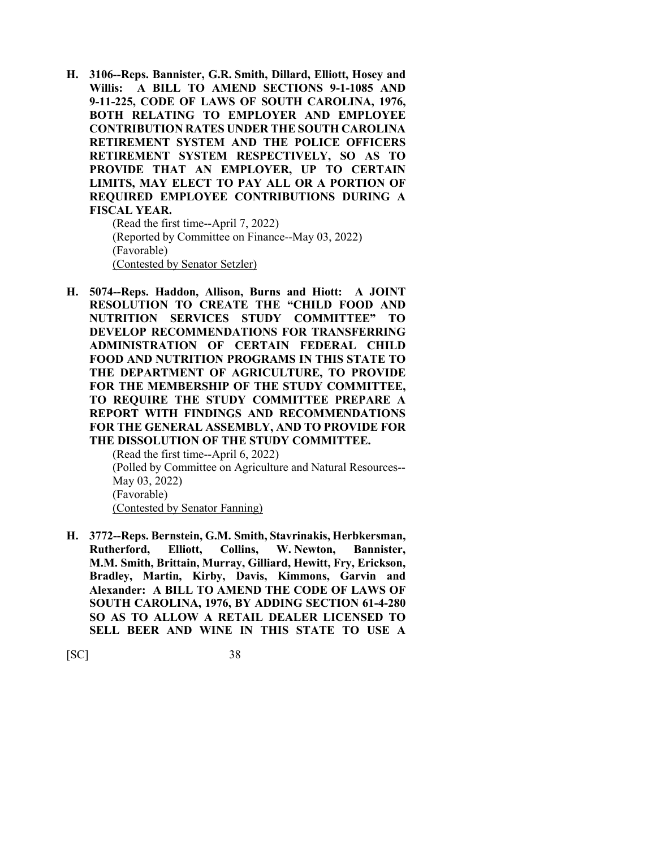**H. 3106--Reps. Bannister, G.R. Smith, Dillard, Elliott, Hosey and Willis: A BILL TO AMEND SECTIONS 9-1-1085 AND 9-11-225, CODE OF LAWS OF SOUTH CAROLINA, 1976, BOTH RELATING TO EMPLOYER AND EMPLOYEE CONTRIBUTION RATES UNDER THE SOUTH CAROLINA RETIREMENT SYSTEM AND THE POLICE OFFICERS RETIREMENT SYSTEM RESPECTIVELY, SO AS TO PROVIDE THAT AN EMPLOYER, UP TO CERTAIN LIMITS, MAY ELECT TO PAY ALL OR A PORTION OF REQUIRED EMPLOYEE CONTRIBUTIONS DURING A FISCAL YEAR.**

> (Read the first time--April 7, 2022) (Reported by Committee on Finance--May 03, 2022) (Favorable) (Contested by Senator Setzler)

**H. 5074--Reps. Haddon, Allison, Burns and Hiott: A JOINT RESOLUTION TO CREATE THE "CHILD FOOD AND NUTRITION SERVICES STUDY COMMITTEE" TO DEVELOP RECOMMENDATIONS FOR TRANSFERRING ADMINISTRATION OF CERTAIN FEDERAL CHILD FOOD AND NUTRITION PROGRAMS IN THIS STATE TO THE DEPARTMENT OF AGRICULTURE, TO PROVIDE FOR THE MEMBERSHIP OF THE STUDY COMMITTEE, TO REQUIRE THE STUDY COMMITTEE PREPARE A REPORT WITH FINDINGS AND RECOMMENDATIONS FOR THE GENERAL ASSEMBLY, AND TO PROVIDE FOR THE DISSOLUTION OF THE STUDY COMMITTEE.**

(Read the first time--April 6, 2022) (Polled by Committee on Agriculture and Natural Resources-- May 03, 2022) (Favorable) (Contested by Senator Fanning)

**H. 3772--Reps. Bernstein, G.M. Smith, Stavrinakis, Herbkersman, Rutherford, Elliott, Collins, W. Newton, Bannister, M.M. Smith, Brittain, Murray, Gilliard, Hewitt, Fry, Erickson, Bradley, Martin, Kirby, Davis, Kimmons, Garvin and Alexander: A BILL TO AMEND THE CODE OF LAWS OF SOUTH CAROLINA, 1976, BY ADDING SECTION 61-4-280 SO AS TO ALLOW A RETAIL DEALER LICENSED TO SELL BEER AND WINE IN THIS STATE TO USE A**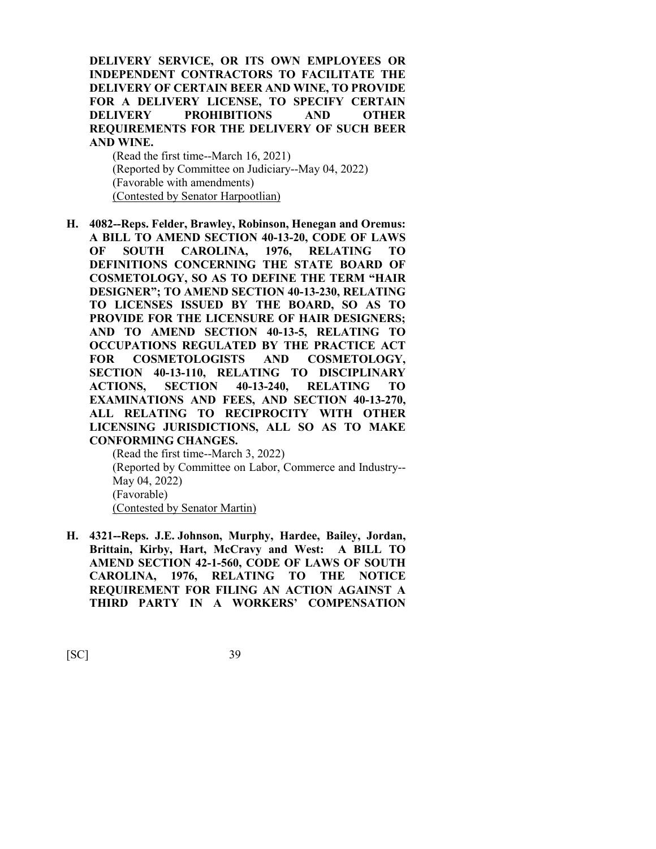**DELIVERY SERVICE, OR ITS OWN EMPLOYEES OR INDEPENDENT CONTRACTORS TO FACILITATE THE DELIVERY OF CERTAIN BEER AND WINE, TO PROVIDE FOR A DELIVERY LICENSE, TO SPECIFY CERTAIN DELIVERY PROHIBITIONS AND OTHER REQUIREMENTS FOR THE DELIVERY OF SUCH BEER AND WINE.**

(Read the first time--March 16, 2021) (Reported by Committee on Judiciary--May 04, 2022) (Favorable with amendments) (Contested by Senator Harpootlian)

**H. 4082--Reps. Felder, Brawley, Robinson, Henegan and Oremus: A BILL TO AMEND SECTION 40-13-20, CODE OF LAWS OF SOUTH CAROLINA, 1976, RELATING TO DEFINITIONS CONCERNING THE STATE BOARD OF COSMETOLOGY, SO AS TO DEFINE THE TERM "HAIR DESIGNER"; TO AMEND SECTION 40-13-230, RELATING TO LICENSES ISSUED BY THE BOARD, SO AS TO PROVIDE FOR THE LICENSURE OF HAIR DESIGNERS; AND TO AMEND SECTION 40-13-5, RELATING TO OCCUPATIONS REGULATED BY THE PRACTICE ACT FOR COSMETOLOGISTS AND COSMETOLOGY, SECTION 40-13-110, RELATING TO DISCIPLINARY ACTIONS, SECTION 40-13-240, RELATING TO EXAMINATIONS AND FEES, AND SECTION 40-13-270, ALL RELATING TO RECIPROCITY WITH OTHER LICENSING JURISDICTIONS, ALL SO AS TO MAKE CONFORMING CHANGES.**

(Read the first time--March 3, 2022) (Reported by Committee on Labor, Commerce and Industry-- May 04, 2022) (Favorable) (Contested by Senator Martin)

**H. 4321--Reps. J.E. Johnson, Murphy, Hardee, Bailey, Jordan, Brittain, Kirby, Hart, McCravy and West: A BILL TO AMEND SECTION 42-1-560, CODE OF LAWS OF SOUTH CAROLINA, 1976, RELATING TO THE NOTICE REQUIREMENT FOR FILING AN ACTION AGAINST A THIRD PARTY IN A WORKERS' COMPENSATION**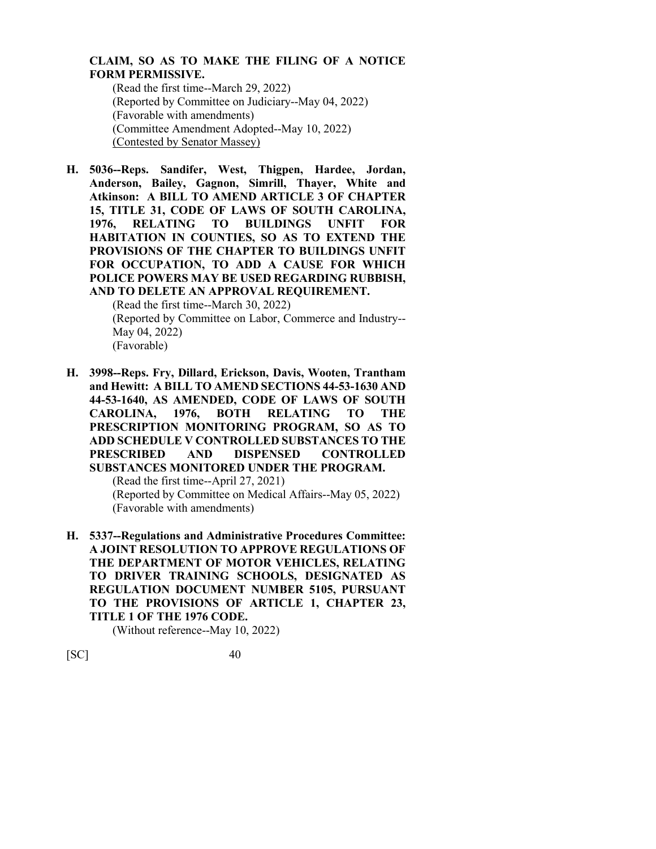## **CLAIM, SO AS TO MAKE THE FILING OF A NOTICE FORM PERMISSIVE.**

(Read the first time--March 29, 2022) (Reported by Committee on Judiciary--May 04, 2022) (Favorable with amendments) (Committee Amendment Adopted--May 10, 2022) (Contested by Senator Massey)

**H. 5036--Reps. Sandifer, West, Thigpen, Hardee, Jordan, Anderson, Bailey, Gagnon, Simrill, Thayer, White and Atkinson: A BILL TO AMEND ARTICLE 3 OF CHAPTER 15, TITLE 31, CODE OF LAWS OF SOUTH CAROLINA, 1976, RELATING TO BUILDINGS UNFIT FOR HABITATION IN COUNTIES, SO AS TO EXTEND THE PROVISIONS OF THE CHAPTER TO BUILDINGS UNFIT FOR OCCUPATION, TO ADD A CAUSE FOR WHICH POLICE POWERS MAY BE USED REGARDING RUBBISH, AND TO DELETE AN APPROVAL REQUIREMENT.**

> (Read the first time--March 30, 2022) (Reported by Committee on Labor, Commerce and Industry-- May 04, 2022) (Favorable)

**H. 3998--Reps. Fry, Dillard, Erickson, Davis, Wooten, Trantham and Hewitt: A BILL TO AMEND SECTIONS 44-53-1630 AND 44-53-1640, AS AMENDED, CODE OF LAWS OF SOUTH CAROLINA, 1976, BOTH RELATING TO THE PRESCRIPTION MONITORING PROGRAM, SO AS TO ADD SCHEDULE V CONTROLLED SUBSTANCES TO THE PRESCRIBED AND DISPENSED CONTROLLED SUBSTANCES MONITORED UNDER THE PROGRAM.**

> (Read the first time--April 27, 2021) (Reported by Committee on Medical Affairs--May 05, 2022)

(Favorable with amendments)

**H. 5337--Regulations and Administrative Procedures Committee: A JOINT RESOLUTION TO APPROVE REGULATIONS OF THE DEPARTMENT OF MOTOR VEHICLES, RELATING TO DRIVER TRAINING SCHOOLS, DESIGNATED AS REGULATION DOCUMENT NUMBER 5105, PURSUANT TO THE PROVISIONS OF ARTICLE 1, CHAPTER 23, TITLE 1 OF THE 1976 CODE.**

(Without reference--May 10, 2022)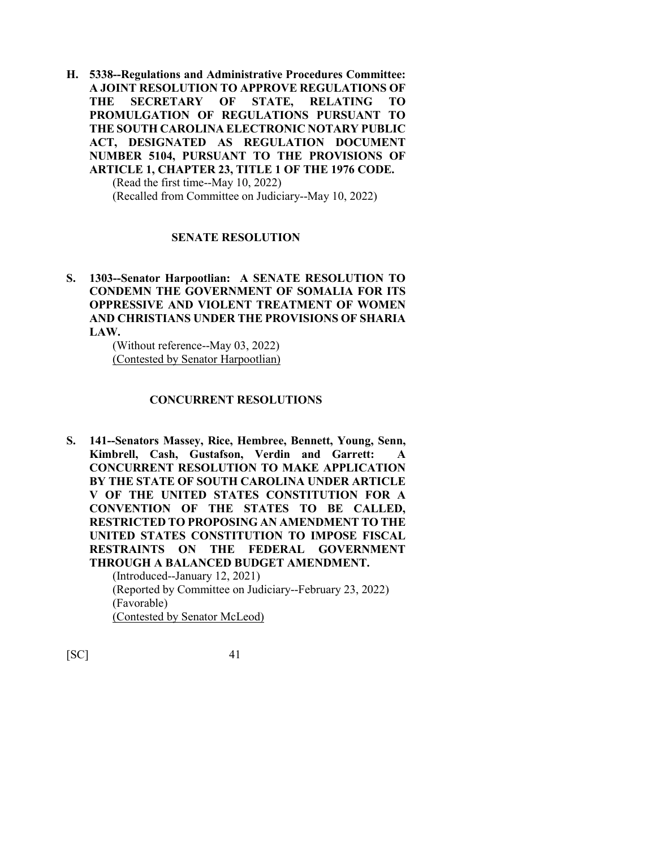**H. 5338--Regulations and Administrative Procedures Committee: A JOINT RESOLUTION TO APPROVE REGULATIONS OF THE SECRETARY OF STATE, RELATING TO PROMULGATION OF REGULATIONS PURSUANT TO THE SOUTH CAROLINA ELECTRONIC NOTARY PUBLIC ACT, DESIGNATED AS REGULATION DOCUMENT NUMBER 5104, PURSUANT TO THE PROVISIONS OF ARTICLE 1, CHAPTER 23, TITLE 1 OF THE 1976 CODE.**  (Read the first time--May 10, 2022)

(Recalled from Committee on Judiciary--May 10, 2022)

## **SENATE RESOLUTION**

**S. 1303--Senator Harpootlian: A SENATE RESOLUTION TO CONDEMN THE GOVERNMENT OF SOMALIA FOR ITS OPPRESSIVE AND VIOLENT TREATMENT OF WOMEN AND CHRISTIANS UNDER THE PROVISIONS OF SHARIA LAW.**

> (Without reference--May 03, 2022) (Contested by Senator Harpootlian)

#### **CONCURRENT RESOLUTIONS**

**S. 141--Senators Massey, Rice, Hembree, Bennett, Young, Senn, Kimbrell, Cash, Gustafson, Verdin and Garrett: A CONCURRENT RESOLUTION TO MAKE APPLICATION BY THE STATE OF SOUTH CAROLINA UNDER ARTICLE V OF THE UNITED STATES CONSTITUTION FOR A CONVENTION OF THE STATES TO BE CALLED, RESTRICTED TO PROPOSING AN AMENDMENT TO THE UNITED STATES CONSTITUTION TO IMPOSE FISCAL RESTRAINTS ON THE FEDERAL GOVERNMENT THROUGH A BALANCED BUDGET AMENDMENT.** (Introduced--January 12, 2021) (Reported by Committee on Judiciary--February 23, 2022) (Favorable)

(Contested by Senator McLeod)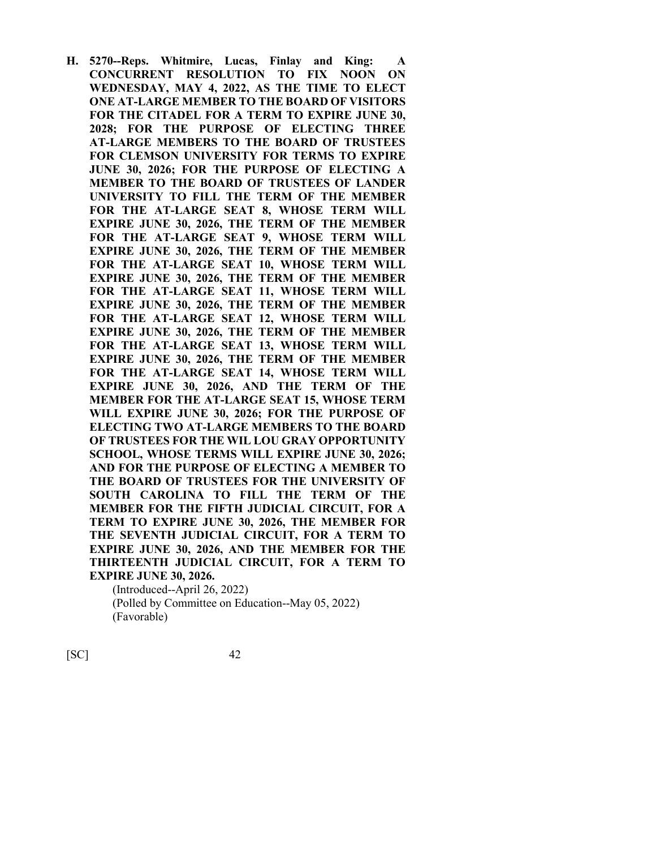**H. 5270--Reps. Whitmire, Lucas, Finlay and King: A CONCURRENT RESOLUTION TO FIX NOON ON WEDNESDAY, MAY 4, 2022, AS THE TIME TO ELECT ONE AT-LARGE MEMBER TO THE BOARD OF VISITORS FOR THE CITADEL FOR A TERM TO EXPIRE JUNE 30, 2028; FOR THE PURPOSE OF ELECTING THREE AT-LARGE MEMBERS TO THE BOARD OF TRUSTEES FOR CLEMSON UNIVERSITY FOR TERMS TO EXPIRE JUNE 30, 2026; FOR THE PURPOSE OF ELECTING A MEMBER TO THE BOARD OF TRUSTEES OF LANDER UNIVERSITY TO FILL THE TERM OF THE MEMBER FOR THE AT-LARGE SEAT 8, WHOSE TERM WILL EXPIRE JUNE 30, 2026, THE TERM OF THE MEMBER FOR THE AT-LARGE SEAT 9, WHOSE TERM WILL EXPIRE JUNE 30, 2026, THE TERM OF THE MEMBER FOR THE AT-LARGE SEAT 10, WHOSE TERM WILL EXPIRE JUNE 30, 2026, THE TERM OF THE MEMBER FOR THE AT-LARGE SEAT 11, WHOSE TERM WILL EXPIRE JUNE 30, 2026, THE TERM OF THE MEMBER FOR THE AT-LARGE SEAT 12, WHOSE TERM WILL EXPIRE JUNE 30, 2026, THE TERM OF THE MEMBER FOR THE AT-LARGE SEAT 13, WHOSE TERM WILL EXPIRE JUNE 30, 2026, THE TERM OF THE MEMBER FOR THE AT-LARGE SEAT 14, WHOSE TERM WILL EXPIRE JUNE 30, 2026, AND THE TERM OF THE MEMBER FOR THE AT-LARGE SEAT 15, WHOSE TERM WILL EXPIRE JUNE 30, 2026; FOR THE PURPOSE OF ELECTING TWO AT-LARGE MEMBERS TO THE BOARD OF TRUSTEES FOR THE WIL LOU GRAY OPPORTUNITY SCHOOL, WHOSE TERMS WILL EXPIRE JUNE 30, 2026; AND FOR THE PURPOSE OF ELECTING A MEMBER TO THE BOARD OF TRUSTEES FOR THE UNIVERSITY OF SOUTH CAROLINA TO FILL THE TERM OF THE MEMBER FOR THE FIFTH JUDICIAL CIRCUIT, FOR A TERM TO EXPIRE JUNE 30, 2026, THE MEMBER FOR THE SEVENTH JUDICIAL CIRCUIT, FOR A TERM TO EXPIRE JUNE 30, 2026, AND THE MEMBER FOR THE THIRTEENTH JUDICIAL CIRCUIT, FOR A TERM TO EXPIRE JUNE 30, 2026.**

(Introduced--April 26, 2022) (Polled by Committee on Education--May 05, 2022) (Favorable)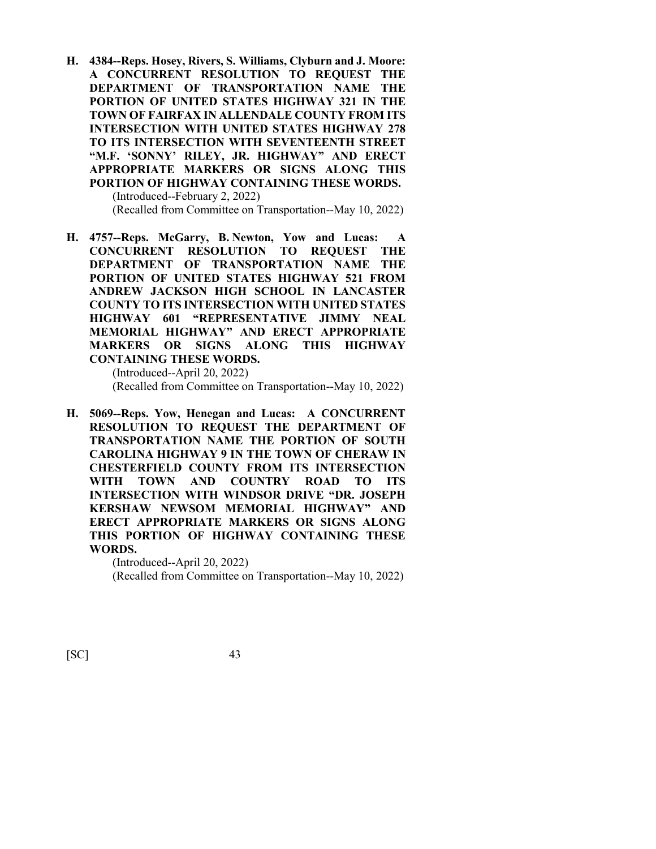**H. 4384--Reps. Hosey, Rivers, S. Williams, Clyburn and J. Moore: A CONCURRENT RESOLUTION TO REQUEST THE DEPARTMENT OF TRANSPORTATION NAME THE PORTION OF UNITED STATES HIGHWAY 321 IN THE TOWN OF FAIRFAX IN ALLENDALE COUNTY FROM ITS INTERSECTION WITH UNITED STATES HIGHWAY 278 TO ITS INTERSECTION WITH SEVENTEENTH STREET "M.F. 'SONNY' RILEY, JR. HIGHWAY" AND ERECT APPROPRIATE MARKERS OR SIGNS ALONG THIS PORTION OF HIGHWAY CONTAINING THESE WORDS.** (Introduced--February 2, 2022)

(Recalled from Committee on Transportation--May 10, 2022)

**H. 4757--Reps. McGarry, B. Newton, Yow and Lucas: A CONCURRENT RESOLUTION TO REQUEST THE DEPARTMENT OF TRANSPORTATION NAME THE PORTION OF UNITED STATES HIGHWAY 521 FROM ANDREW JACKSON HIGH SCHOOL IN LANCASTER COUNTY TO ITS INTERSECTION WITH UNITED STATES HIGHWAY 601 "REPRESENTATIVE JIMMY NEAL MEMORIAL HIGHWAY" AND ERECT APPROPRIATE MARKERS OR SIGNS ALONG THIS HIGHWAY CONTAINING THESE WORDS.**

> (Introduced--April 20, 2022) (Recalled from Committee on Transportation--May 10, 2022)

**H. 5069--Reps. Yow, Henegan and Lucas: A CONCURRENT RESOLUTION TO REQUEST THE DEPARTMENT OF TRANSPORTATION NAME THE PORTION OF SOUTH CAROLINA HIGHWAY 9 IN THE TOWN OF CHERAW IN CHESTERFIELD COUNTY FROM ITS INTERSECTION WITH TOWN AND COUNTRY ROAD TO ITS INTERSECTION WITH WINDSOR DRIVE "DR. JOSEPH KERSHAW NEWSOM MEMORIAL HIGHWAY" AND ERECT APPROPRIATE MARKERS OR SIGNS ALONG THIS PORTION OF HIGHWAY CONTAINING THESE WORDS.**

> (Introduced--April 20, 2022) (Recalled from Committee on Transportation--May 10, 2022)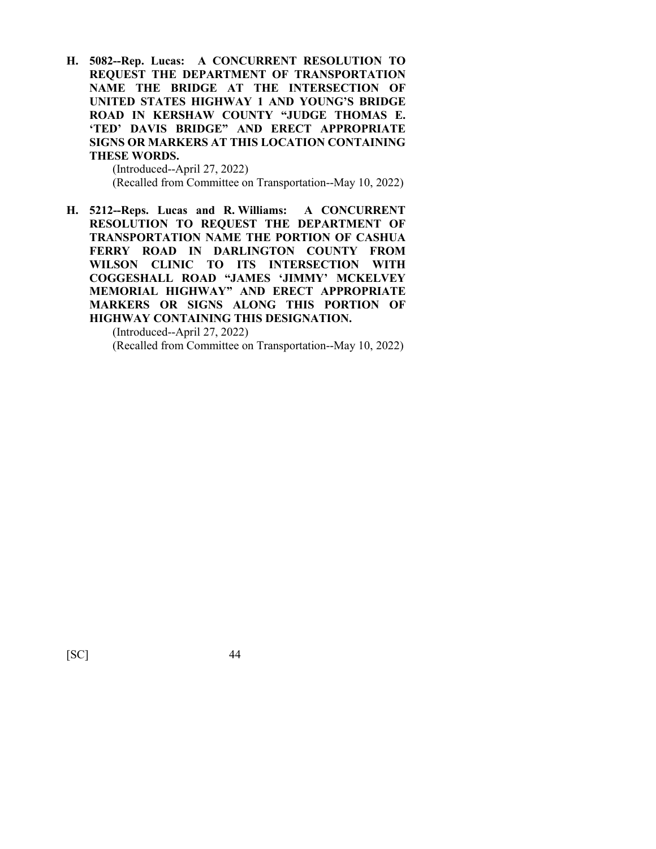**H. 5082--Rep. Lucas: A CONCURRENT RESOLUTION TO REQUEST THE DEPARTMENT OF TRANSPORTATION NAME THE BRIDGE AT THE INTERSECTION OF UNITED STATES HIGHWAY 1 AND YOUNG'S BRIDGE ROAD IN KERSHAW COUNTY "JUDGE THOMAS E. 'TED' DAVIS BRIDGE" AND ERECT APPROPRIATE SIGNS OR MARKERS AT THIS LOCATION CONTAINING THESE WORDS.**

> (Introduced--April 27, 2022) (Recalled from Committee on Transportation--May 10, 2022)

**H. 5212--Reps. Lucas and R. Williams: A CONCURRENT RESOLUTION TO REQUEST THE DEPARTMENT OF TRANSPORTATION NAME THE PORTION OF CASHUA FERRY ROAD IN DARLINGTON COUNTY FROM WILSON CLINIC TO ITS INTERSECTION WITH COGGESHALL ROAD "JAMES 'JIMMY' MCKELVEY MEMORIAL HIGHWAY" AND ERECT APPROPRIATE MARKERS OR SIGNS ALONG THIS PORTION OF HIGHWAY CONTAINING THIS DESIGNATION.**

(Introduced--April 27, 2022) (Recalled from Committee on Transportation--May 10, 2022)